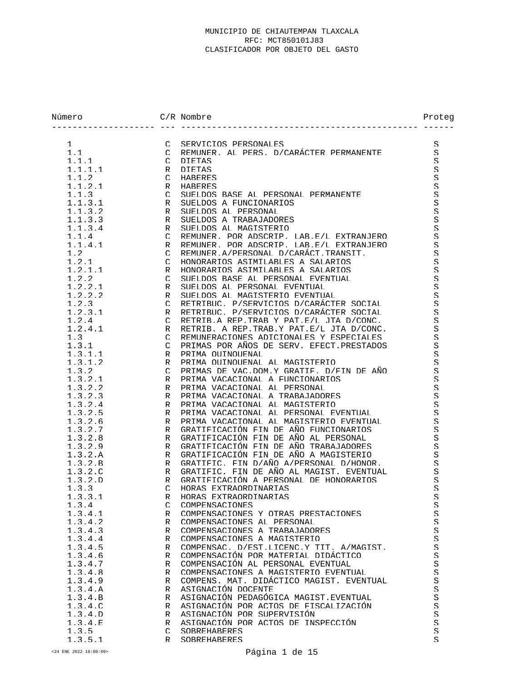| Número                        | $C/R$ Nombre                                                                       | Proteg                   |
|-------------------------------|------------------------------------------------------------------------------------|--------------------------|
| $\mathbf{1}$<br>$\mathcal{C}$ | SERVICIOS PERSONALES                                                               | S                        |
| 1.1<br>$\mathcal{C}$          | REMINER AI PERS D/CARÁCTER PERMANENTE                                              | S                        |
| 1.1.1<br>$\cap$               | DIETAS                                                                             | $\mathcal{S}% _{0}$      |
| 1.1.1.1<br>R                  | <b>DIETAS</b>                                                                      | S                        |
| 1.1.2<br>$\cap$               | HARERES                                                                            | S                        |
| 1.1.2.1<br>R                  | HARERES                                                                            | $\rm S$                  |
| 1.1.3<br>$\subset$            | SUELDOS BASE AL PERSONAL PERMANENTE                                                | S                        |
| 1.1.3.1<br>R                  | SUELDOS A FUNCIONARIOS                                                             | $\mathcal{S}% _{0}$      |
| 1.1.3.2<br>R                  | SUELDOS AL PERSONAL                                                                | S                        |
| 1.1.3.3<br>R                  | SUELDOS A TRABAJADORES                                                             | $\mathcal{S}% _{0}$      |
| 1.1.3.4<br>R                  | SUELDOS AL MAGISTERIO                                                              | $\mathcal{S}% _{0}$      |
| 1.1.4<br>$\cap$               | REMUNER, POR ADSCRIP, LAB E/L EXTRANJERO                                           | S                        |
| 1.1.4.1<br>R                  | REMINER POR ADSCRIP. LAB E/L EXTRANJERO                                            | $\mathcal{S}% _{0}$      |
| 1.2<br>$\mathcal{C}$          | REMINER A/PERSONAL D/CARÁCT TRANSIT.                                               | S                        |
| 1.2.1<br>$\mathcal{C}$        | HONORARIOS ASIMILARLES A SALARIOS                                                  | S                        |
| 1.2.1.1<br>R                  | HONORARIOS ASIMILARLES A SALARIOS                                                  | $\mathcal{S}% _{0}$      |
| 1.2.2<br>$\mathcal{C}$        | SUELDOS BASE AL PERSONAL EVENTUAL                                                  | S                        |
| 1.2.2.1<br>R                  | SUELDOS AL PERSONAL EVENTUAL                                                       | $\mathcal{S}% _{0}$      |
| 1.2.2.2<br>R                  | SUELDOS AL MAGISTERIO EVENTUAL                                                     | $\mathcal{S}% _{0}$      |
| 1.2.3<br>$\mathcal{C}$        | RETRIBUC. P/SERVICIOS D/CARÁCTER SOCIAL                                            | S                        |
| 1.2.3.1<br>R<br>1.2.4         | RETRIBUC. P/SERVICIOS D/CARÁCTER SOCIAL<br>RETRIB A REP TRAB Y PAT E/L JTA D/CONC. | S                        |
| $\mathcal{C}$<br>1.2.4.1      | RETRIB. A REP. TRAB. Y PAT. E/L. JTA D/CONC.                                       | S                        |
| R<br>1.3<br>$\mathcal{C}$     | REMUNERACIONES ADICIONALES Y ESPECIALES                                            | S<br>S                   |
| 1.3.1<br>$\mathcal{C}$        | PRIMAS POR AÑOS DE SERV. EFECT. PRESTADOS                                          | S                        |
| 1.3.1.1<br>R                  | PRIMA OUINOUENAL                                                                   | S                        |
| 1.3.1.2<br>R                  | PRIMA OUINOUENAL AL MAGISTERIO                                                     | S                        |
| 1.3.2<br>$\mathcal{C}$        | PRIMAS DE VAC.DOM.Y GRATIF. D/FIN DE AÑO                                           | S                        |
| 1.3.2.1<br>R                  | PRIMA VACACIONAL A FUNCIONARIOS                                                    | S                        |
| 1.3.2.2<br>R                  | PRIMA VACACIONAL AL PERSONAL                                                       | $\mathcal{S}% _{0}$      |
| 1.3.2.3<br>R                  | PRIMA VACACIONAL A TRABAJADORES                                                    | S                        |
| 1.3.2.4<br>R                  | PRIMA VACACIONAL AL MAGISTERIO                                                     | S                        |
| 1.3.2.5<br>R                  | PRIMA VACACIONAL AL PERSONAL EVENTUAL                                              | S                        |
| 1.3.2.6<br>R                  | PRIMA VACACIONAL AL MAGISTERIO EVENTUAL                                            | S                        |
| $\mathsf R$<br>1.3.2.7        | GRATIFICACIÓN FIN DE AÑO FUNCIONARIOS                                              | $\mathcal{S}% _{0}$      |
| 1.3.2.8<br>R                  | GRATIFICACIÓN FIN DE AÑO AL PERSONAL                                               | S                        |
| R<br>1.3.2.9                  | GRATIFICACIÓN FIN DE AÑO TRABAJADORES                                              | S                        |
| $\mathsf R$<br>1.3.2.A        | GRATIFICACIÓN FIN DE AÑO A MAGISTERIO                                              | S                        |
| 1.3.2. R<br>R                 | GRATIFIC. FIN D/AÑO A/PERSONAI, D/HONOR.                                           | S                        |
| R<br>1.3.2.c                  | GRATIFIC. FIN DE AÑO AL MAGIST. EVENTUAL                                           | S                        |
| $1.3.2.$ D<br>R               | GRATIFICACIÓN A PERSONAL DE HONORARIOS                                             | S                        |
| 1.3.3<br>$\mathcal{C}$        | HORAS EXTRAORDINARIAS                                                              | S                        |
| 1.3.3.1<br>R                  | HORAS EXTRAORDINARIAS                                                              | $\boldsymbol{\varsigma}$ |
| 1.3.4<br>$\cap$               | COMPENSACIONES                                                                     | S.                       |
| 1.3.4.1<br>R                  | COMPENSACIONES Y OTRAS PRESTACIONES                                                | S                        |
| 1.3.4.2<br>R                  | COMPENSACIONES AL PERSONAL                                                         | S                        |
| 1.3.4.3<br>R                  | COMPENSACIONES A TRABAJADORES                                                      | S.                       |
| 1.3.4.4<br>R                  | COMPENSACIONES A MAGISTERIO                                                        | S                        |
| 1.3.4.5<br>R                  | COMPENSAC. D/EST.LICENC.Y TIT. A/MAGIST.<br>COMPENSACIÓN POR MATERIAL DIDÁCTICO    | S                        |
| 1.3.4.6<br>R                  | COMPENSACIÓN AL PERSONAL EVENTUAL                                                  | $\mathcal{S}% _{0}$      |
| 1.3.4.7<br>R<br>1.3.4.8<br>R  | COMPENSACIONES A MAGISTERIO EVENTUAL                                               | S<br>S                   |
| 1.3.4.9<br>R                  | COMPENS. MAT. DIDÁCTICO MAGIST. EVENTUAL                                           | $\mathcal{S}% _{0}$      |
| 1.3.4.A<br>R                  | ASIGNACIÓN DOCENTE                                                                 | S                        |
| 1.3.4. R<br>R                 | ASIGNACIÓN PEDAGÓGICA MAGIST EVENTUAL                                              | S.                       |
| 1.3.4.c.<br>R                 | ASIGNACIÓN POR ACTOS DE FISCALIZACIÓN                                              | S                        |
| $1.3.4.$ D<br>R               | ASIGNACIÓN POR SUPERVISIÓN                                                         | S                        |
| 1.3.4.F.<br>R                 | ASIGNACIÓN POR ACTOS DE INSPECCIÓN                                                 | $\mathcal{S}% _{0}$      |
| 1.3.5<br>$\mathcal{C}$        | SOBREHABERES                                                                       | S                        |
| 1.3.5.1<br>R                  | SOBREHABERES                                                                       | S                        |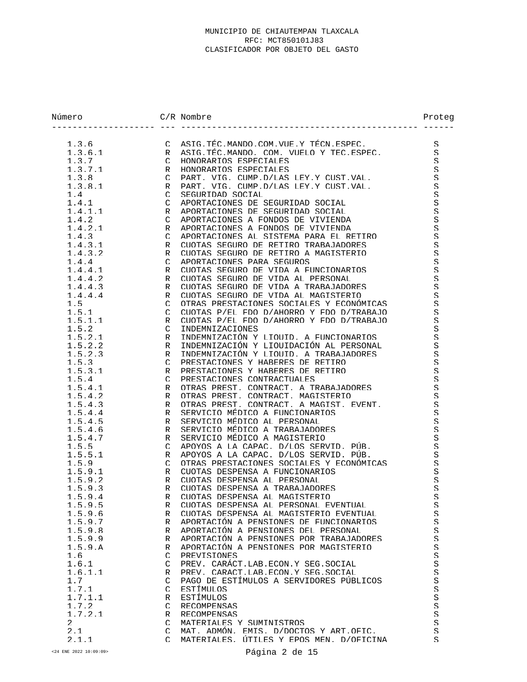| Número             |               | $C/R$ Nombre                                                              | Proteg                             |
|--------------------|---------------|---------------------------------------------------------------------------|------------------------------------|
| 1.3.6              |               | C ASTG. THC. MANDO. COM. VIIE. Y THCN. ESPEC.                             | S.                                 |
| 1.3.6.1            | $\mathsf{R}$  | ASIG TEC MANDO. COM. VUELO Y TEC ESPEC.                                   | S                                  |
| 1.3.7              | $\mathcal{C}$ | HONORARIOS ESPECIALES                                                     | $\mathcal{S}% _{0}$                |
| 1.3.7.1            | R             | HONORARIOS ESPECIALES                                                     | S                                  |
| 1.3.8              | $\mathcal{C}$ | PART. VIG. CUMP.D/LAS LEY.Y CUST.VAL.                                     | $\mathcal{S}% _{0}$                |
| 1.3.8.1            | R             | PART, VIG, CUMP D/LAS LEY Y CUST VAL.                                     | S                                  |
| 1.4                | $\mathcal{C}$ | SEGURIDAD SOCIAL                                                          | S.                                 |
| 1.4.1              | $\cap$        | APORTACIONES DE SEGURIDAD SOCIAL                                          | $\mathcal{S}% _{0}$                |
| 1, 4, 1, 1         | R             | APORTACIONES DE SEGURIDAD SOCIAL                                          | $\mathcal{S}% _{0}$                |
| 1.4.2              | $\mathcal{C}$ | APORTACIONES A FONDOS DE VIVIENDA                                         | $\mathcal{S}% _{0}$                |
| 1.4.2.1            | R             | APORTACIONES A FONDOS DE VIVIENDA                                         | $\mathcal{S}% _{0}$                |
| 1.4.3              | $\mathcal{C}$ | APORTACIONES AL SISTEMA PARA EL RETIRO                                    | S.                                 |
| 1.4.3.1            | R             | CUOTAS SEGURO DE RETIRO TRABAJADORES                                      | $\mathbf S$                        |
| 1.4.3.2            | R             | CUOTAS SEGURO DE RETIRO A MAGISTERIO                                      | S                                  |
| 1.4.4              | $\mathcal{C}$ | APORTACIONES PARA SEGUROS                                                 | S.                                 |
| 1.4.4.1            | R             | CUOTAS SEGURO DE VIDA A FUNCIONARIOS                                      | $\mathcal{S}% _{0}$                |
| 1.4.4.2            | R             | CUOTAS SEGURO DE VIDA AL PERSONAL                                         | S                                  |
| 1, 4, 4, 3         | R             | CUOTAS SEGURO DE VIDA A TRABAJADORES                                      | $\mathcal{S}% _{0}$                |
| 1.4.4.4            | R             | CUOTAS SEGURO DE VIDA AL MAGISTERIO                                       | $\mathbf S$                        |
| 1.5                | $\mathcal{C}$ | OTRAS PRESTACIONES SOCIALES Y ECONÓMICAS                                  | S                                  |
| 1.5.1              | $\mathcal{C}$ | CIIOTAS P/FI, FDO D/AHORRO Y FDO D/TRABAJO                                | $\mathcal{S}% _{0}$                |
| 1.5.1.1            | R             | CUOTAS P/EL FDO D/AHORRO Y FDO D/TRABAJO                                  | S                                  |
| 1.5.2              | $\mathcal{C}$ | INDEMNIZACIONES                                                           | $\mathcal{S}% _{0}$                |
| 1.5.2.1            | R             | INDEMNIZACIÓN Y LIOUID. A FUNCIONARIOS                                    | $\mathbf S$                        |
| 1.5.2.2            | R             | INDEMNIZACIÓN Y LIOUIDACIÓN AL PERSONAL                                   | S                                  |
| 1.5.2.3            | R             | INDEMNIZACIÓN Y LIOUID. A TRABAJADORES                                    | S                                  |
| 1.5.3              | $\mathcal{C}$ | PRESTACIONES Y HARERES DE RETIRO                                          | $\rm S$                            |
| 1.5.3.1            | R             | PRESTACIONES Y HABERES DE RETIRO                                          | $\mathcal{S}% _{0}$                |
| 1.5.4              | $\mathcal{C}$ | PRESTACIONES CONTRACTUALES                                                | $\mathbf S$                        |
| 1.5.4.1            | R             | OTRAS PREST CONTRACT A TRABAJADORES                                       | S.                                 |
| 1.5.4.2            | R             | OTRAS PREST. CONTRACT. MAGISTERIO                                         | $\mathcal{S}% _{0}$                |
| 1.5.4.3            | R<br>R        | OTRAS PREST. CONTRACT. A MAGIST. EVENT.<br>SERVICIO MÉDICO A FUNCIONARIOS | $\mathbf S$<br>$\mathcal{S}% _{0}$ |
| 1.5.4.4<br>1.5.4.5 | R             | SERVICIO MÉDICO AL PERSONAL                                               | $\mathcal{S}% _{0}$                |
| 1.5.4.6            | R             | SERVICIO MÉDICO A TRABAJADORES                                            | $\mathcal{S}% _{0}$                |
| 1.5.4.7            | R             | SERVICIO MÉDICO A MAGISTERIO                                              | S                                  |
| 1.5.5              | $\cap$        | APOYOS A LA CAPAC. D/LOS SERVID. PÚB.                                     | $\mathcal{S}% _{0}$                |
| 1.5.5.1            | R             | APOYOS A LA CAPAC. D/LOS SERVID. PÚB.                                     | S.                                 |
| 1.5.9              | $\mathcal{C}$ | OTRAS PRESTACIONES SOCIALES Y ECONÓMICAS                                  | S                                  |
| 1.5.9.1            | R             | CUOTAS DESPENSA A FUNCIONARIOS                                            | $\mathbf S$                        |
| 1.5.9.2            | R             | CUOTAS DESPENSA AL PERSONAL                                               | S                                  |
| 1.5.9.3            | R             | CUOTAS DESPENSA A TRABAJADORES                                            | S                                  |
| 1.5.9.4            | R             | CUOTAS DESPENSA AL MAGISTERIO                                             | $\rm S$                            |
| 1.5.9.5            | R             | CUOTAS DESPENSA AL PERSONAL EVENTUAL                                      | S                                  |
| 1.5.9.6            | R             | CUOTAS DESPENSA AL MAGISTERIO EVENTUAL                                    | S                                  |
| 1.5.9.7            | R             | APORTACIÓN A PENSIONES DE FUNCIONARIOS                                    | S                                  |
| 1.5.9.8            | R             | APORTACIÓN A PENSIONES DEL PERSONAL                                       | S.                                 |
| 1.5.9.9            | R             | APORTACIÓN A PENSIONES POR TRABAJADORES                                   | S                                  |
| 1.5.9.A            | R             | APORTACIÓN A PENSIONES POR MAGISTERIO                                     | S.                                 |
| 1.6                | $\mathcal{C}$ | <b>PREVISIONES</b>                                                        | S                                  |
| 1.6.1              | C             | PREV. CARÁCT.LAB.ECON.Y SEG.SOCIAL                                        | S                                  |
| 1.6.1.1            | R             | PREV. CARACT.LAB.ECON.Y SEG.SOCIAL                                        | S                                  |
| 1.7                | $\mathcal{C}$ | PAGO DE ESTÍMULOS A SERVIDORES PÚBLICOS                                   | S                                  |
| 1.7.1              | $\mathcal{C}$ | ESTÍMIILOS                                                                | S                                  |
| 1.7.1.1            | R             | ESTÍMULOS                                                                 | S.                                 |
| 1.7.2              | $\mathcal{C}$ | RECOMPENSAS                                                               | $\mathcal{S}% _{0}$                |
| 1.7.2.1            | R             | RECOMPENSAS                                                               | S.                                 |
| $\mathfrak{D}$     | $\mathcal{C}$ | MATERIALES Y SUMINISTROS                                                  | S                                  |
| 2.1                | $\mathcal{C}$ | MAT. ADMÓN. EMIS. D/DOCTOS Y ART.OFIC.                                    | S                                  |
| 2.1.1              | $\cap$        | MATERIALES, UTILES Y EPOS MEN, D/OFICINA                                  | S                                  |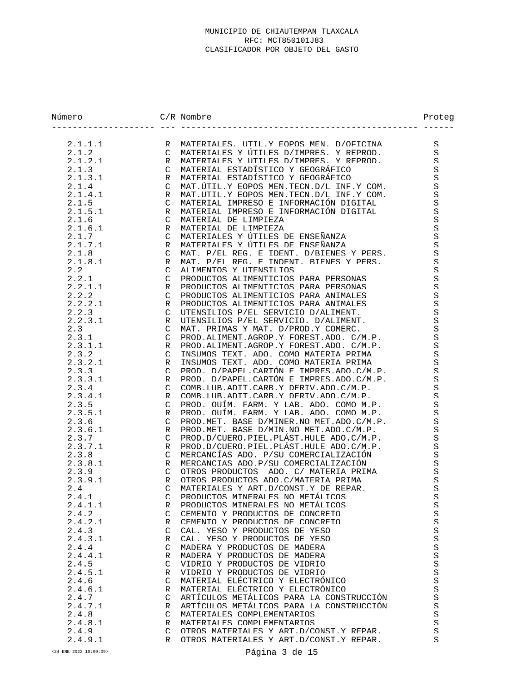| Número  |               | $C/R$ Nombre                                                                           | Proteg |
|---------|---------------|----------------------------------------------------------------------------------------|--------|
| 2.1.1.1 | $\mathsf{R}$  | MATERIALES, UTILY EOPOS MEN. D/OFICINA                                                 | S      |
| 2.1.2   | $\mathcal{C}$ | MATERIALES Y ÚTILES D/IMPRES. Y REPROD.                                                | S      |
| 2.1.2.1 | R             | MATERIALES Y UTILES D/IMPRES, Y REPROD.                                                | S      |
| 2.1.3   | $\cap$        | MATERIAL ESTADÍSTICO Y GEOGRÁFICO                                                      | S      |
| 2.1.3.1 | R             | MATERIAI ESTADÍSTICO Y GEOGRÁFICO                                                      | S      |
| 2.1.4   | $\cap$        | MAT UTTI. Y EOPOS MEN TECN D/L INF Y COM.                                              | S      |
| 2.1.4.1 | R             | MAT UTILY EOPOS MEN TECN D/L INF Y COM.                                                | S      |
| 2.1.5   | $\cap$        | MATERIAL IMPRESO E INFORMACIÓN DIGITAL                                                 | S      |
| 2.1.5.1 | R             | MATERIAL IMPRESO E INFORMACIÓN DIGITAL                                                 | S      |
| 2.1.6   | $\mathcal{C}$ | MATERIAL DE LIMPIEZA                                                                   | S      |
| 2.1.6.1 | R             | MATERIAL DE LIMPIEZA                                                                   | S      |
| 2.1.7   | $\cap$        | MATERIALES Y ÚTILES DE ENSEÑANZA                                                       | S      |
| 2.1.7.1 | R             | MATERIALES Y ÚTILES DE ENSEÑANZA                                                       | S      |
| 2.1.8   | $\mathcal{C}$ | MAT. P/EL REG. E IDENT. D/RIENES Y PERS.                                               | S      |
| 2.1.8.1 | R             | MAT. P/EL REG. E INDENT. BIENES Y PERS.                                                | S      |
| 2.2     | $\mathcal{C}$ | ALIMENTOS Y UTENSILIOS                                                                 | S      |
| 2.2.1   | $\mathcal{C}$ | PRODUCTOS ALIMENTICIOS PARA PERSONAS                                                   | S      |
| 2.2.1.1 | R             | PRODUCTOS ALIMENTICIOS PARA PERSONAS                                                   | S      |
| 2.2.2   | $\mathcal{C}$ | PRODUCTOS ALIMENTICIOS PARA ANIMALES                                                   | S      |
| 2.2.2.1 | R             | PRODUCTOS ALIMENTICIOS PARA ANIMALES                                                   | S      |
| 2.2.3   | $\cap$        | UTENSILIOS P/EL SERVICIO D/ALIMENT.                                                    | S      |
| 2.2.3.1 | R             | UTENSILIOS P/EL SERVICIO, D/ALIMENT,                                                   | S      |
| 2.3     | $\mathcal{C}$ | MAT. PRIMAS Y MAT. D/PROD.Y COMERC.                                                    | S      |
| 2.3.1   | $\mathcal{C}$ | PROD. ALIMENT. AGROP. Y FOREST. ADO. C/M.P.                                            | S      |
| 2.3.1.1 | R             | PROD. ALIMENT. AGROP. Y FOREST. ADO. C/M.P.                                            | S      |
| 2.3.2   | $\mathcal{C}$ | INSUMOS TEXT. ADO. COMO MATERIA PRIMA                                                  | S      |
| 2.3.2.1 | R             | INSUMOS TEXT. ADO. COMO MATERIA PRIMA                                                  | S      |
| 2.3.3   | $\cap$        | PROD. D/PAPEL.CARTÓN E IMPRES.ADO.C/M.P.                                               | S.     |
| 2.3.3.1 | R             | PROD. D/PAPEL.CARTÓN E IMPRES.ADO.C/M.P.                                               | S      |
| 2.3.4   | $\mathcal{C}$ | COMB. LUB. ADIT. CARB. Y DERIV. ADO. C/M. P.                                           | S      |
| 2.3.4.1 | R             | COMB. LUB. ADIT. CARB. Y DERIV. ADO. C/M. P.                                           | S      |
| 2.3.5   | $\mathcal{C}$ | PROD. OUTM. FARM. Y LAR. ADO. COMO M.P.                                                | S      |
| 2.3.5.1 |               | PROD. OUTM. FARM. Y LAB. ADO. COMO M.P.                                                |        |
| 2.3.6   | R             | PROD. MET. BASE D/MINER. NO MET. ADO. C/M. P.                                          | S      |
|         | $\mathcal{C}$ |                                                                                        | S.     |
| 2.3.6.1 | R             | PROD. MET. BASE D/MIN. NO MET. ADO. C/M. P.<br>PROD.D/CUERO.PTEL.PLÁST.HULE ADO.C/M.P. | S      |
| 2.3.7   | $\cap$        | PROD.D/CUERO.PTEL.PLÁST.HULE ADO.C/M.P.                                                | S      |
| 2.3.7.1 | R             | MERCANCÍAS ADO. P/SU COMERCIALIZACIÓN                                                  | S      |
| 2.3.8   | $\cap$        |                                                                                        | S      |
| 2.3.8.1 | R             | MERCANCIAS ADO P/SU COMERCIALIZACIÓN                                                   | S      |
| 2.3.9   | $\mathcal{C}$ | OTROS PRODUCTOS ADO C/ MATERIA PRIMA                                                   | S      |
| 2.3.9.1 | R             | OTROS PRODUCTOS ADO C/MATERIA PRIMA                                                    | S      |
| 2.4     | $\mathcal{C}$ | MATERIALES Y ART D/CONST Y DE REPAR.                                                   | S      |
| 2.4.1   | $\mathcal{C}$ | PRODICTOS MINERALES NO METÁLICOS                                                       | S      |
| 2.4.1.1 | R             | PRODUCTOS MINERALES NO METÁLICOS                                                       | S      |
| 2.4.2   | $\mathcal{C}$ | CEMENTO Y PRODUCTOS DE CONCRETO                                                        | S      |
| 2.4.2.1 | R             | CEMENTO Y PRODUCTOS DE CONCRETO                                                        | S.     |
| 2.4.3   | $\mathcal{C}$ | CAL. YESO Y PRODUCTOS DE YESO                                                          | S.     |
| 2.4.3.1 | R             | CALL YESO Y PRODUCTOS DE YESO                                                          | S      |
| 2.4.4   | $\mathcal{C}$ | MADERA Y PRODUCTOS DE MADERA                                                           | S.     |
| 2.4.4.1 | R             | MADERA Y PRODUCTOS DE MADERA                                                           | S      |
| 2.4.5   | $\mathcal{C}$ | VIDRIO Y PRODUCTOS DE VIDRIO                                                           | S      |
| 2.4.5.1 | R             | VIDRIO Y PRODUCTOS DE VIDRIO                                                           | S.     |
| 2.4.6   | $\mathcal{C}$ | MATERIAL ELÉCTRICO Y ELECTRÓNICO                                                       | S      |
| 2.4.6.1 | R             | MATERIAL ELÉCTRICO Y ELECTRÓNICO                                                       | S.     |
| 2.4.7   | $\mathcal{C}$ | ARTÍCULOS METÁLICOS PARA LA CONSTRUCCIÓN                                               | S      |
| 2.4.7.1 | R             | ARTÍCULOS METÁLICOS PARA LA CONSTRUCCIÓN                                               | S      |
| 2.4.8   | $\mathcal{C}$ | MATERIALES COMPLEMENTARIOS                                                             | S      |
| 2.4.8.1 | R             | MATERIALES COMPLEMENTARIOS                                                             | S      |
| 2.4.9   | $\mathcal{C}$ | OTROS MATERIALES Y ART D/CONST Y REPAR                                                 | S      |
| 2.4.9.1 | R             | OTROS MATERIALES Y ART.D/CONST.Y REPAR.                                                | S      |

<24 ENE 2022 10:09:09> Página 3 de 15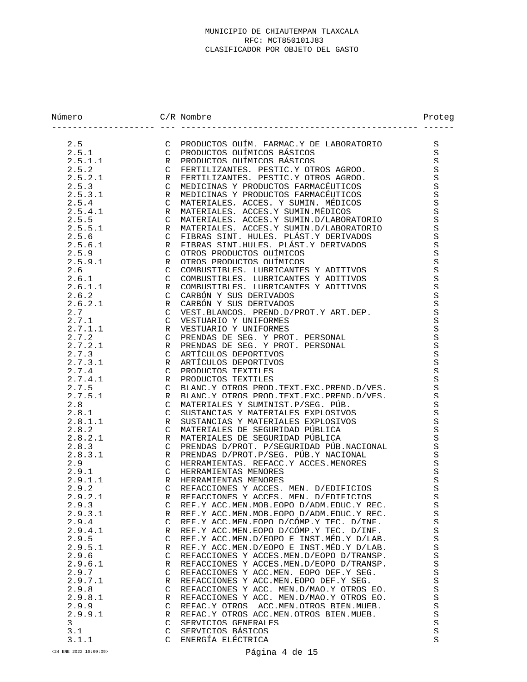| Número           |                               | $C/R$ Nombre                                                                | Proteg              |
|------------------|-------------------------------|-----------------------------------------------------------------------------|---------------------|
| 2.5              | $\mathcal{C}$                 | PRODUCTOS OUTM. FARMAC.Y DE LABORATORIO                                     | S                   |
| 2.5.1            | $\mathcal{C}$                 | PRODUCTOS OUÍMICOS RÁSICOS                                                  | S                   |
| 2.5.1.1          | $\mathsf{R}$                  | PRODUCTOS OUÍMICOS BÁSICOS                                                  | S                   |
| 2.5.2            | $\mathcal{C}$                 | FERTILIZANTES. PESTIC.Y OTROS AGROO.                                        | S                   |
| 2.5.2.1          | $\mathsf{R}$                  | FERTILIZANTES. PESTIC.Y OTROS AGROO.                                        | S                   |
| 2.5.3            | $\mathcal{C}$                 | MEDICINAS Y PRODUCTOS FARMACÉUTICOS                                         | S                   |
| 2.5.3.1          | R                             | MEDICINAS Y PRODUCTOS FARMACÉUTICOS                                         | S                   |
| 2.5.4            | $\mathcal{C}$                 | MATERIALES, ACCES, Y SUMIN, MEDICOS                                         | S                   |
| 2.5.4.1          | R                             | MATERIALES, ACCES Y SUMIN MÉDICOS                                           | S                   |
| 2.5.5            | $\mathcal{C}$                 | MATERIALES. ACCES Y SUMIN D/LABORATORIO                                     | S                   |
| 2.5.5.1          | $\mathsf{R}$                  | MATERIALES. ACCES.Y SUMIN.D/LABORATORIO                                     | S                   |
| 2.5.6            | $\mathcal{C}$                 | FIBRAS SINT, HULES, PLÁST Y DERIVADOS                                       | S                   |
| 2.5.6.1          | $\mathsf{R}$<br>$\mathcal{C}$ | FIBRAS SINT HULES. PLÁST Y DERIVADOS<br>OTROS PRODUCTOS OUTMICOS            | S                   |
| 2.5.9<br>2.5.9.1 | $\mathsf{R}$                  | OTROS PRODUCTOS OUÍMICOS                                                    | S                   |
| 2.6              | $\mathcal{C}$                 | COMBUSTIBLES, LUBRICANTES Y ADITIVOS                                        | S<br>S              |
| 2.6.1            | $\mathcal{C}$                 | COMBUSTIBLES, LUBRICANTES Y ADITIVOS                                        | S                   |
| 2.6.1.1          | R                             | COMBUSTIBLES. LUBRICANTES Y ADITIVOS                                        | S                   |
| 2.6.2            | $\mathcal{C}$                 | CARBÓN Y SUS DERIVADOS                                                      | S                   |
| 2.6.2.1          | R                             | CARBÓN Y SUS DERIVADOS                                                      | S                   |
| 2.7              | $\mathcal{C}$                 | VEST RLANCOS . PREND D/PROT Y ART DEP.                                      | S                   |
| 2.7.1            | $\mathcal{C}$                 | VESTUARIO Y UNIFORMES                                                       | S                   |
| 2.7.1.1          | $\mathsf{R}$                  | VESTUARIO Y UNIFORMES                                                       | S                   |
| 2.7.2            | $\mathcal{C}$                 | PRENDAS DE SEG. Y PROT. PERSONAL                                            | S                   |
| 2.7.2.1          | $\mathsf{R}$                  | PRENDAS DE SEG. Y PROT. PERSONAL                                            | S                   |
| 2.7.3            | $\cap$                        | ARTÍCULOS DEPORTIVOS                                                        | S                   |
| 2.7.3.1          | $\mathsf{R}$                  | ARTÍCULOS DEPORTIVOS                                                        | S                   |
| 2.7.4            | $\mathcal{C}$                 | PRODUCTOS TEXTILES                                                          | S                   |
| 2.7.4.1          | $\mathsf{R}$                  | PRODUCTOS TEXTILES                                                          | S                   |
| 2.7.5            | $\mathcal{C}$                 | BLANC Y OTROS PROD TEXT EXC PREND D/VES.                                    | S.                  |
| 2.7.5.1          | R                             | BLANC Y OTROS PROD TEXT EXC PREND D/VES                                     | S                   |
| 2.8              | $\mathcal{C}$                 | MATERIALES Y SUMINIST P/SEG. PUB.                                           | S                   |
| 2.8.1            | $\mathcal{C}$                 | SUSTANCIAS Y MATERIALES EXPLOSIVOS                                          | S                   |
| 2.8.1.1          | R                             | SUSTANCIAS Y MATERIALES EXPLOSIVOS                                          | S                   |
| 2.8.2            | $\mathcal{C}$                 | MATERIALES DE SEGURIDAD PÚBLICA                                             | S                   |
| 2.8.2.1          | R                             | MATERIALES DE SEGURIDAD PÚBLICA<br>PRENDAS D/PROT. P/SEGURIDAD PÚB NACIONAL | S                   |
| 2.8.3<br>2.8.3.1 | $\cap$                        | PRENDAS D/PROT.P/SEG. PÚB.Y NACIONAL                                        | S<br>S              |
| 2.9              | R<br>$\mathcal{C}$            | HERRAMIENTAS, REFACC Y ACCES MENORES                                        | S                   |
| 2.9.1            | $\mathcal{C}$                 | HERRAMIENTAS MENORES                                                        | S                   |
| 2.9.1.1          | R                             | HERRAMIENTAS MENORES                                                        | S                   |
| 2.9.2            | $\mathcal{C}$                 | REFACCIONES Y ACCES, MEN. D/EDIFICIOS                                       | S                   |
| 2.9.2.1          | R                             | REFACCIONES Y ACCES. MEN. D/EDIFICIOS                                       | S                   |
| 2.9.3            | $\mathcal{C}$                 | REF Y ACC MEN MOB EOPO D/ADM EDUC Y REC.                                    | S                   |
| 2.9.3.1          | R                             | REF.Y ACC.MEN.MOB.EOPO D/ADM.EDUC.Y REC.                                    | S.                  |
| 2.9.4            | $\mathcal{C}$                 | REF Y ACC MEN EOPO D/CÓMP Y TEC. D/INF.                                     | S                   |
| 2.9.4.1          | R                             | REF Y ACC MEN EOPO D/CÓMP Y TEC. D/INF.                                     | S                   |
| 2.9.5            | $\mathcal{C}$                 | REF Y ACC MEN D/EOPO E INST MED Y D/LAB.                                    | S                   |
| 2.9.5.1          | R                             | REF.Y ACC.MEN.D/EOPO E INST.MED.Y D/LAB.                                    | $\mathcal{S}% _{0}$ |
| 2.9.6            | $\mathcal{C}$                 | REFACCIONES Y ACCES MEN D/EOPO D/TRANSP.                                    | S                   |
| 2.9.6.1          | R                             | REFACCIONES Y ACCES MEN D/EOPO D/TRANSP.                                    | S.                  |
| 2.9.7            | $\mathcal{C}$                 | REFACCIONES Y ACC.MEN. EOPO DEF.Y SEG.                                      | S                   |
| 2.9.7.1          | R                             | REFACCIONES Y ACC.MEN.EOPO DEF.Y SEG.                                       | S.                  |
| 2.9.8            | $\mathcal{C}$                 | REFACCIONES Y ACC. MEN D/MAO Y OTROS EO.                                    | S.                  |
| 2.9.8.1          | R                             | REFACCIONES Y ACC. MEN.D/MAO.Y OTROS EO.                                    | S.                  |
| 2.9.9            | $\mathcal{C}$                 | REFAC.Y OTROS ACC.MEN.OTROS BIEN.MUER.                                      | S                   |
| 2.9.9.1          | R                             | REFAC.Y OTROS ACC.MEN.OTROS BIEN.MUER.                                      | S.                  |
| 3<br>3.1         | $\cap$<br>$\mathcal{C}$       | SERVICIOS GENERALES<br>SERVICIOS BÁSICOS                                    | S<br>S              |
| 3.1.1            | $\cap$                        | ENERGÍA ELÉCTRICA                                                           | S                   |
|                  |                               |                                                                             |                     |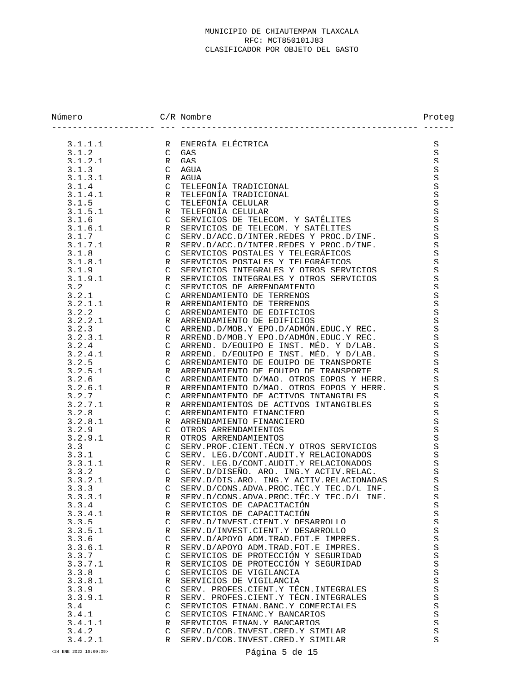| Número  |               | $C/R$ Nombre                                | Proteg                   |
|---------|---------------|---------------------------------------------|--------------------------|
| 3.1.1.1 | $\mathsf{R}$  | ENERGÍA ELÉCTRICA                           | S                        |
| 3.1.2   | $\mathcal{C}$ | GAS                                         | S                        |
| 3.1.2.1 | R             | GAS                                         | S                        |
| 3.1.3   | $\cap$        | AGIJA                                       | S                        |
| 3.1.3.1 | R             | AGIJA                                       | S                        |
| 3.1.4   | $\mathcal{C}$ | TELEFONÍA TRADICIONAL                       | S                        |
| 3.1.4.1 | R             | TELEFONÍA TRADICIONAL                       | S                        |
| 3.1.5   | $\mathcal{C}$ | TELEFONÍA CELULAR                           | S                        |
| 3.1.5.1 | R             | TELEFONÍA CELULAR                           | S                        |
| 3.1.6   | $\cap$        | SERVICIOS DE TELECOM. Y SATÉLITES           | S                        |
| 3.1.6.1 | R             | SERVICIOS DE TELECOM. Y SATÉLITES           | S.                       |
| 3.1.7   | $\mathcal{C}$ | SERV D/ACC D/INTER REDES Y PROC D/INF.      | S                        |
| 3.1.7.1 | R             | SERV.D/ACC.D/INTER.REDES Y PROC.D/INF.      | S                        |
| 3.1.8   | $\mathcal{C}$ | SERVICIOS POSTALES Y TELEGRÁFICOS           | S                        |
| 3.1.8.1 | R             | SERVICIOS POSTALES Y TELEGRÁFICOS           | S                        |
| 3.1.9   | $\mathcal{C}$ | SERVICIOS INTEGRALES Y OTROS SERVICIOS      | S                        |
| 3.1.9.1 | R             | SERVICIOS INTEGRALES Y OTROS SERVICIOS      | S                        |
| 3.2     | $\mathcal{C}$ | SERVICIOS DE ARRENDAMIENTO                  | S                        |
| 3.2.1   | $\mathcal{C}$ | ARRENDAMIENTO DE TERRENOS                   | S.                       |
| 3.2.1.1 | R             | ARRENDAMIENTO DE TERRENOS                   | S                        |
| 3.2.2   | $\mathcal{C}$ | ARRENDAMIENTO DE EDIFICIOS                  | S                        |
| 3.2.2.1 | R             | ARRENDAMIENTO DE EDIFICIOS                  | S                        |
| 3.2.3   | $\cap$        | ARREND D/MOB Y EPO D/ADMÓN EDUC Y REC.      | S                        |
| 3.2.3.1 | R             | ARREND D/MOB Y EPO D/ADMÓN EDUC Y REC.      | S                        |
| 3.2.4   | $\mathcal{C}$ | ARREND. D/EOUIPO E INST. MÉD. Y D/LAB.      | S                        |
| 3.2.4.1 | R             | ARREND. D/EOUTPO E INST. MED. Y D/LAB.      | S                        |
| 3.2.5   | $\mathcal{C}$ | ARRENDAMIENTO DE EQUIPO DE TRANSPORTE       | S                        |
| 3.2.5.1 | R             | ARRENDAMIENTO DE EOUIPO DE TRANSPORTE       | S                        |
| 3.2.6   | $\mathcal{C}$ | ARRENDAMIENTO D/MAO. OTROS EOPOS Y HERR.    | S                        |
| 3.2.6.1 | R             | ARRENDAMIENTO D/MAO OTROS EOPOS Y HERR      | S                        |
| 3.2.7   | $\mathcal{C}$ | ARRENDAMIENTO DE ACTIVOS INTANGIBLES        | S                        |
| 3.2.7.1 | R             | ARRENDAMIENTOS DE ACTIVOS INTANGIBLES       | S                        |
| 3.2.8   | $\mathcal{C}$ | ARRENDAMIENTO FINANCIERO                    | S                        |
| 3.2.8.1 | R             | ARRENDAMIENTO FINANCIERO                    | S                        |
| 3.2.9   | $\mathcal{C}$ | OTROS ARRENDAMIENTOS                        | S                        |
| 3.2.9.1 | R             | OTROS ARRENDAMIENTOS                        | S                        |
| 3.3     | $\mathcal{C}$ | SERV PROF CIENT TECN Y OTROS SERVICIOS      | S                        |
| 3.3.1   | $\mathcal{C}$ | SERV. LEG.D/CONT.AUDIT.Y RELACIONADOS       | S                        |
| 3.3.1.1 | R             | SERV. LEG.D/CONT.AUDIT.Y RELACIONADOS       | S                        |
| 3.3.2   | $\mathcal{C}$ | SERV D/DISEÑO, ARO, ING Y ACTIV RELAC.      | S                        |
| 3.3.2.1 | R             | SERV D/DIS ARO. ING Y ACTIV RELACIONADAS    | S                        |
| 3.3.3   | $\mathcal{C}$ | SERV D/CONS ADVA PROC. TEC. Y TEC. D/L INF. | S                        |
| 3.3.3.1 |               | R SERV.D/CONS.ADVA.PROC.TÉC.Y TEC.D/L INF.  | $\boldsymbol{\varsigma}$ |
| 3.3.4   | $\subset$     | SERVICIOS DE CAPACITACIÓN                   | S                        |
| 3.3.4.1 | R             | SERVICIOS DE CAPACITACIÓN                   | $\mathcal{S}% _{0}$      |
| 3.3.5   | $\mathcal{C}$ | SERV D/INVEST CIENT Y DESARROLLO            | S.                       |
| 3.3.5.1 | R             | SERV D/INVEST CIENT Y DESARROLLO            | S                        |
| 3.3.6   | $\cap$        | SERV D/APOYO ADM TRAD FOT F IMPRES.         | $\mathcal{S}% _{0}$      |
| 3.3.6.1 | R             | SERV D/APOYO ADM TRAD FOT F IMPRES.         | S.                       |
| 3.3.7   | $\mathcal{C}$ | SERVICIOS DE PROTECCIÓN Y SEGURIDAD         | S                        |
| 3.3.7.1 | R             | SERVICIOS DE PROTECCIÓN Y SEGURIDAD         | $\mathcal{S}% _{0}$      |
| 3.3.8   | $\mathcal{C}$ | SERVICIOS DE VIGILANCIA                     | S                        |
| 3.3.8.1 | R             | SERVICIOS DE VIGILANCIA                     | $\mathcal{S}% _{0}$      |
| 3.3.9   | $\subset$     | SERV. PROFES. CIENT. Y TÉCN. INTEGRALES     | S                        |
| 3.3.9.1 | R             | SERV. PROFES. CIENT Y TÉCN INTEGRALES       | S                        |
| 3.4     | $\mathcal{C}$ | SERVICIOS FINAN RANC Y COMERCIALES          | S.                       |
| 3.4.1   | $\cap$        | SERVICIOS FINANC Y BANCARIOS                | S.                       |
| 3.4.1.1 | R             | SERVICIOS FINAN Y BANCARIOS                 | S                        |
| 3.4.2   | $\mathcal{C}$ | SERV D/COB INVEST CRED Y SIMILAR            | $\mathcal{S}% _{0}$      |
| 3.4.2.1 | R             | SERV D/COB INVEST CRED Y SIMILAR            | S                        |
|         |               |                                             |                          |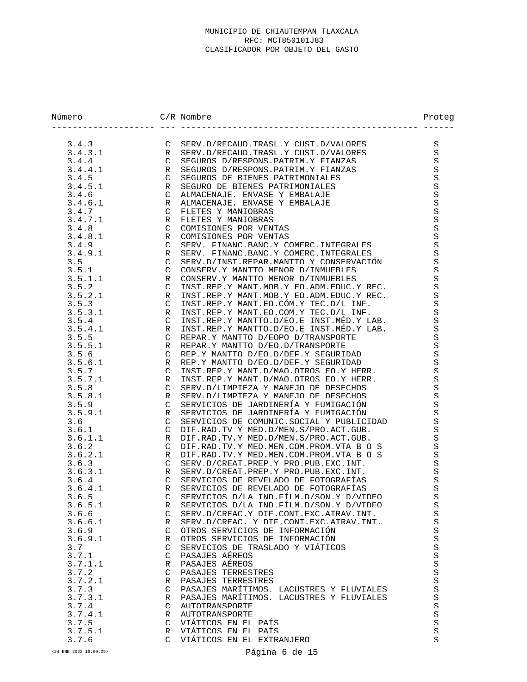| Número           |                    | $C/R$ Nombre                                                                         | Proteg                   |
|------------------|--------------------|--------------------------------------------------------------------------------------|--------------------------|
| 3.4.3            | $\mathcal{C}$      | SERV D/RECAUD TRASI Y CUST D/VALORES                                                 | S                        |
| 3.4.3.1          | R                  | SERV.D/RECAUD.TRASL.Y CUST.D/VALORES                                                 | S                        |
| 3.4.4            | $\cap$             | SEGUROS D/RESPONS PATRIM Y FIANZAS                                                   | $\mathcal{S}% _{0}$      |
| 3.4.4.1          | R                  | SEGUROS D/RESPONS PATRIM Y FIANZAS                                                   | S                        |
| 3.4.5            | $\mathcal{C}$      | SEGUROS DE BIENES PATRIMONIALES                                                      | $\mathcal{S}% _{0}$      |
| 3.4.5.1          | R                  | SEGURO DE BIENES PATRIMONIALES                                                       | $\boldsymbol{\varsigma}$ |
| 3.4.6            | $\mathcal{C}$      | ALMACENAJE. ENVASE Y EMBALAJE                                                        | $\rm S$                  |
| 3.4.6.1          | R                  | ALMACENAJE. ENVASE Y EMBALAJE                                                        | $\mathcal{S}% _{0}$      |
| 3.4.7            | $\mathcal{C}$      | FLETES Y MANIOBRAS                                                                   | $\mathcal{S}% _{0}$      |
| 3.4.7.1          | R                  | FLETES Y MANIOBRAS                                                                   | $\boldsymbol{\varsigma}$ |
| 3.4.8            | $\mathcal{C}$      | COMISIONES POR VENTAS                                                                | $\mathcal{S}% _{0}$      |
| 3.4.8.1          | R                  | COMISIONES POR VENTAS                                                                | $\mathcal{S}% _{0}$      |
| 3.4.9            | $\mathcal{C}$      | SERV FINANC BANC Y COMERC INTEGRALES                                                 | $\mathcal{S}% _{0}$      |
| 3.4.9.1          | R                  | SERV. FINANC. BANC. Y COMERC. INTEGRALES                                             | $\mathcal{S}% _{0}$      |
| 3.5              | $\mathcal{C}$      | SERV D/INST REPAR MANTTO Y CONSERVACIÓN                                              | S                        |
| 3.5.1            | $\mathcal{C}$      | CONSERV Y MANTTO MENOR D/INMUERLES                                                   | $\mathcal{S}% _{0}$      |
| 3.5.1.1          | R                  | CONSERV Y MANTTO MENOR D/INMUERLES                                                   | $\mathcal{S}% _{0}$      |
| 3.5.2            | $\mathcal{C}$      | INST REP Y MANT MOR Y EO ADM EDUC Y REC.                                             | $\mathcal{S}% _{0}$      |
| 3.5.2.1          | R                  | INST REP Y MANT MOB Y EO ADM EDUC Y REC.                                             | $\mathcal{S}% _{0}$      |
| 3.5.3            | $\cap$             | INST.REP.Y MANT.EO.CÓM.Y TEC.D/L INF.                                                | S                        |
| 3.5.3.1          | R                  | INST.REP.Y MANT.EO.COM.Y TEC.D/L INF.                                                | $\mathcal{S}% _{0}$      |
| 3.5.4            | $\mathcal{C}$      | TNST.REP.Y MANTTO.D/EO.E TNST.MED.Y LAB.                                             | $\mathcal{S}% _{0}$      |
| 3.5.4.1          | R                  | INST REP Y MANTTO D/EO E INST MED Y LAB.                                             | S                        |
| 3.5.5            | $\mathcal{C}$      | REPAR Y MANTTO D/EOPO D/TRANSPORTE                                                   | S                        |
| 3.5.5.1          | R                  | REPAR Y MANTTO D/EO D/TRANSPORTE                                                     | $\mathcal{S}% _{0}$      |
| 3.5.6            | $\mathcal{C}$      | REP Y MANTTO D/EO D/DEF Y SEGURIDAD                                                  | S                        |
| 3.5.6.1          | R                  | REP Y MANTTO D/EO D/DEF Y SEGURIDAD                                                  | $\mathcal{S}% _{0}$      |
| 3.5.7<br>3.5.7.1 | $\cap$             | INST REP Y MANT D/MAO OTROS EO Y HERR<br>INST REP Y MANT D/MAO OTROS EO Y HERR       | S<br>$\mathcal{S}% _{0}$ |
| 3.5.8            | R<br>$\mathcal{C}$ | SERV D/LIMPIEZA Y MANEJO DE DESECHOS                                                 | $\mathcal{S}% _{0}$      |
| 3.5.8.1          | R                  | SERV D/LIMPIEZA Y MANEJO DE DESECHOS                                                 | S                        |
| 3.5.9            | $\mathcal{C}$      | SERVICIOS DE JARDINERÍA Y FUMIGACIÓN                                                 | $\mathcal{S}% _{0}$      |
| 3.5.9.1          | R                  | SERVICIOS DE JARDINERÍA Y FUMIGACIÓN                                                 | S                        |
| 3.6              | $\mathcal{C}$      | SERVICIOS DE COMUNIC SOCIAL Y PUBLICIDAD                                             | S                        |
| 3.6.1            | $\mathcal{C}$      | DIF. RAD. TV Y MED. D/MEN. S/PRO. ACT. GUR.                                          | S                        |
| 3.6.1.1          | R                  | DIF RAD TV Y MED D/MEN S/PRO ACT GUR                                                 | S                        |
| 3.6.2            | $\mathcal{C}$      | DIF.RAD.TV.Y MED.MEN.COM.PROM.VTA B O S                                              | S                        |
| 3.6.2.1          | R                  | DIF.RAD.TV.Y MED.MEN.COM.PROM.VTA B O S                                              | S                        |
| 3.6.3            | $\cap$             | SERV D/CREAT PREP Y PRO PUB EXC INT.                                                 | S                        |
| 3.6.3.1          | R                  | SERV.D/CREAT.PREP.Y PRO.PUB.EXC.TNT.                                                 | S                        |
| 3.6.4            | $\mathcal{C}$      | SERVICIOS DE REVELADO DE FOTOGRAFÍAS                                                 | S                        |
| 3.6.4.1          | $\mathsf{R}$       | SERVICIOS DE REVELADO DE FOTOGRAFÍAS                                                 | S                        |
| 3.6.5            |                    | C SERVICIOS D/LA IND.FÍLM.D/SON.Y D/VIDEO                                            | $\rm S$                  |
| 3.6.5.1          | R                  | SERVICIOS D/LA IND FÍLM D/SON Y D/VIDEO                                              | S                        |
| 3.6.6            | $\mathcal{C}$      | SERV.D/CREAC.Y DIF.CONT.EXC.ATRAV.INT.                                               | S                        |
| 3.6.6.1          | R                  | SERV D/CREAC, Y DIF CONT EXC ATRAV INT.                                              | S                        |
| 3.6.9            | $\cap$             | OTROS SERVICIOS DE INFORMACIÓN                                                       | S                        |
| 3.6.9.1          | R                  | OTROS SERVICIOS DE INFORMACIÓN                                                       | S                        |
| 3.7              | $\mathcal{C}$      | SERVICIOS DE TRASLADO Y VIÁTICOS                                                     | S                        |
| 3.7.1            | $\mathcal{C}$      | PASAJES AFREOS                                                                       | $\mathcal{S}% _{0}$      |
| 3.7.1.1          | R                  | PASAJES AFREOS                                                                       | S                        |
| 3.7.2            | $\mathcal{C}$      | PASAJES TERRESTRES                                                                   | S.                       |
| 3.7.2.1          | R                  | PASAJES TERRESTRES                                                                   | S                        |
| 3.7.3            | $\mathcal{C}$      | PASAJES MARÍTIMOS. LACUSTRES Y FLUVIALES<br>PASAJES MARÍTIMOS. LACUSTRES Y FLUVIALES | $\mathcal{S}% _{0}$      |
| 3.7.3.1          | R<br>$\mathcal{C}$ | AUTOTRANSPORTE                                                                       | S<br>S                   |
| 3.7.4<br>3.7.4.1 | R                  | AUTOTRANSPORTE                                                                       | S                        |
| 3.7.5            | $\mathcal{C}$      | VIÁTICOS EN EL PAÍS                                                                  | $\mathcal{S}% _{0}$      |
| 3.7.5.1          | R                  | VIÁTICOS EN EL PAÍS                                                                  | S                        |
| 3.7.6            | $\cap$             | VIÁTICOS EN EL EXTRANJERO                                                            | S                        |
|                  |                    |                                                                                      |                          |

<24 ENE 2022 10:09:09> Página 6 de 15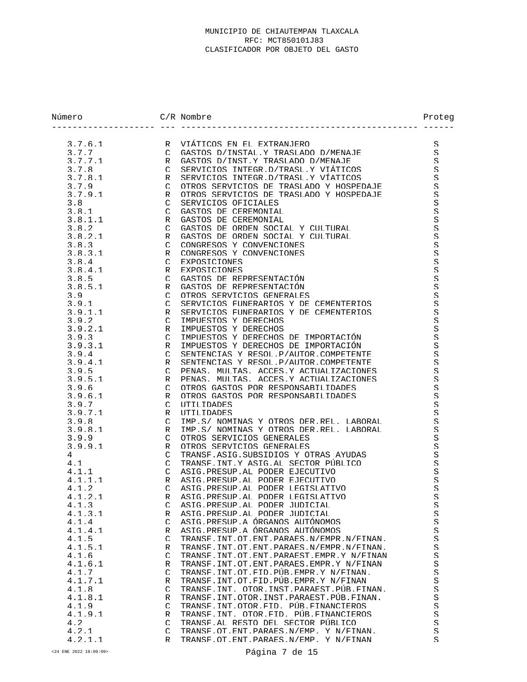| Número  |               | $C/R$ Nombre                                   | Proteg                   |
|---------|---------------|------------------------------------------------|--------------------------|
| 3.7.6.1 |               | R VIÁTICOS EN EL EXTRANJERO                    | S                        |
| 3.7.7   | $\mathcal{C}$ | GASTOS D/INSTAL Y TRASLADO D/MENAJE            | S                        |
| 3.7.7.1 | $\mathsf{R}$  | GASTOS D/INST.Y TRASLADO D/MENAJE              | $\mathcal{S}% _{0}$      |
| 3.7.8   | $\mathcal{C}$ | SERVICIOS INTEGR D/TRASL Y VIÁTICOS            | S                        |
| 3.7.8.1 | R             | SERVICIOS INTEGR D/TRASL Y VÍATICOS            | S                        |
| 3.7.9   | $\mathcal{C}$ | OTROS SERVICIOS DE TRASLADO Y HOSPEDAJE        | S.                       |
| 3.7.9.1 | R             | OTROS SERVICIOS DE TRASLADO Y HOSPEDAJE        | S.                       |
| 3.8     | $\mathcal{C}$ | SERVICIOS OFICIALES                            | $\mathcal{S}% _{0}$      |
| 3.8.1   | $\mathcal{C}$ | GASTOS DE CEREMONIAL                           | $\mathcal{S}% _{0}$      |
| 3.8.1.1 | R             | GASTOS DE CEREMONIAL                           | $\mathcal{S}% _{0}$      |
| 3.8.2   | $\mathcal{C}$ | GASTOS DE ORDEN SOCIAL Y CULTURAL              | $\mathcal{S}% _{0}$      |
| 3.8.2.1 | R             | GASTOS DE ORDEN SOCIAL Y CULTURAL              | $\mathcal{S}% _{0}$      |
| 3.8.3   | $\mathcal{C}$ | CONGRESOS Y CONVENCIONES                       | $\mathcal{S}% _{0}$      |
| 3.8.3.1 | R             | CONGRESOS Y CONVENCIONES                       | $\mathcal{S}% _{0}$      |
| 3.8.4   | $\mathcal{C}$ | EXPOSICIONES                                   | $\mathcal{S}% _{0}$      |
| 3.8.4.1 | R             | EXPOSICIONES                                   | $\mathcal{S}% _{0}$      |
| 3.8.5   | $\mathcal{C}$ | GASTOS DE REPRESENTACIÓN                       | $\mathcal{S}% _{0}$      |
| 3.8.5.1 | R             | GASTOS DE REPRESENTACIÓN                       | $\mathcal{S}% _{0}$      |
| 3.9     | $\cap$        | OTROS SERVICIOS GENERALES                      | $\mathcal{S}% _{0}$      |
| 3.9.1   | $\mathcal{C}$ | SERVICIOS FUNERARIOS Y DE CEMENTERIOS          | $\mathcal{S}% _{0}$      |
| 3.9.1.1 | R             | SERVICIOS FUNERARIOS Y DE CEMENTERIOS          | S                        |
| 3.9.2   | $\mathcal{C}$ | IMPUESTOS Y DERECHOS                           | $\varsigma$              |
| 3.9.2.1 | R             | IMPUESTOS Y DERECHOS                           | $\mathcal{S}% _{0}$      |
| 3.9.3   | $\mathcal{C}$ | IMPUESTOS Y DERECHOS DE IMPORTACIÓN            | $\mathcal{S}% _{0}$      |
| 3.9.3.1 | R             | IMPUESTOS Y DERECHOS DE IMPORTACIÓN            | S                        |
| 3.9.4   | $\cap$        | SENTENCIAS Y RESOL P/AUTOR COMPETENTE          | $\mathcal{S}% _{0}$      |
| 3.9.4.1 | R             | SENTENCIAS Y RESOL P/AUTOR COMPETENTE          | $\mathcal{S}% _{0}$      |
| 3.9.5   | $\mathcal{C}$ | PENAS, MULTAS, ACCES Y ACTUALIZACIONES         | S                        |
| 3.9.5.1 | R             | PENAS. MULTAS. ACCES.Y ACTUALIZACIONES         | $\mathcal{S}% _{0}$      |
| 3.9.6   | $\mathcal{C}$ | OTROS GASTOS POR RESPONSABILIDADES             | $\mathcal{S}% _{0}$      |
| 3.9.6.1 | R             | OTROS GASTOS POR RESPONSARILIDADES             | $\mathcal{S}% _{0}$      |
| 3.9.7   | $\mathcal{C}$ | UTILIDADES                                     | $\mathcal{S}% _{0}$      |
| 3.9.7.1 | R             | <b>IITILIDADES</b>                             | $\mathcal{S}% _{0}$      |
| 3.9.8   | $\mathcal{C}$ | TMP S/ NOMINAS Y OTROS DER REL. LABORAL        | $\mathcal{S}% _{0}$      |
| 3.9.8.1 | R             | TMP S/ NOMINAS Y OTROS DER REL LABORAL         | $\mathcal{S}% _{0}$      |
| 3.9.9   | $\mathcal{C}$ | OTROS SERVICIOS GENERALES                      | S.                       |
| 3.9.9.1 | R             | OTROS SERVICIOS GENERALES                      | $\mathcal{S}% _{0}$      |
| 4       | $\mathcal{C}$ | TRANSF ASIG SUBSIDIOS Y OTRAS AYUDAS           | $\varsigma$              |
| 4.1     | $\mathcal{C}$ | TRANSF. INT. Y ASIG. AL. SECTOR PÚBLICO        | S.                       |
| 4.1.1   | $\mathcal{C}$ | ASIG PRESUP AL PODER EJECUTIVO                 | S                        |
| 4.1.1.1 | R             | ASIG PRESUP AL PODER EJECUTIVO                 | S.                       |
| 4.1.2   | $\mathcal{C}$ | ASTG PRESUP AL PODER LEGISLATIVO               | S                        |
| 4.1.2.1 |               | R ASTG. PRESUP. AL PODER LEGISLATIVO           | $\boldsymbol{\varsigma}$ |
| 4.1.3   | $\mathcal{C}$ | ASTG PRESUP AL PODER JUDICIAL                  | S                        |
| 4.1.3.1 | R             | ASTG PRESUP AL PODER JUDICIAL                  | S                        |
| 4.1.4   | C.            | ASIG PRESUP A ÓRGANOS AUTÓNOMOS                | $\Xi$                    |
| 4.1.4.1 | R             | ASIG PRESUP A ÓRGANOS AUTÓNOMOS                | S.                       |
| 4.1.5   | C.            | TRANSF. INT. OT. ENT. PARAES. N/EMPR. N/FINAN. | S                        |
| 4.1.5.1 | R             | TRANSF. INT. OT. ENT. PARAES. N/EMPR. N/FINAN. | S                        |
| 4.1.6   | C.            | TRANSF. INT. OT. ENT. PARAEST. EMPR. Y N/FINAN | S.                       |
| 4.1.6.1 | R             | TRANSF INT OT FNT PARAES FMPR Y N/FINAN        | S                        |
| 4.1.7   | $\mathcal{C}$ | TRANSF. INT. OT. FID. PUR. EMPR. Y N/FINAN.    | S.                       |
| 4.1.7.1 | R             | TRANSF. INT. OT. FID. PUR. EMPR. Y N/FINAN     | S                        |
| 4.1.8   | C.            | TRANSF. INT. OTOR. INST. PARAEST. PUR. FINAN.  | $\mathcal{S}% _{0}$      |
| 4.1.8.1 | R             | TRANSF. TNT. OTOR. TNST. PARAEST. PUR. FTNAN.  | S.                       |
| 4.1.9   | C.            | TRANSF. INT. OTOR. FID. PUR. FINANCIEROS       | S                        |
| 4.1.9.1 | R             | TRANSF. TNT. OTOR FID. PUR. FINANCIEROS        | S                        |
| 4.2     | C             | TRANSF. AL RESTO DEL SECTOR PÚBLICO            | S.                       |
| 4.2.1   | C             | TRANSF. OT. ENT. PARAES. N/EMP. Y N/FINAN.     | S                        |
| 4.2.1.1 | R             | TRANSF. OT. ENT. PARAES. N/EMP. Y N/FINAN      | S.                       |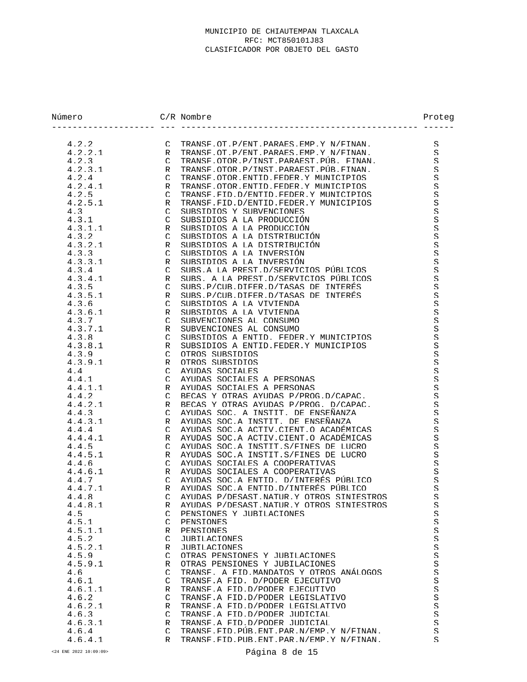| Número           |                    | $C/R$ Nombre                                                                   | Proteg                         |
|------------------|--------------------|--------------------------------------------------------------------------------|--------------------------------|
| 4.2.2            | $\mathcal{C}$      | TRANSF OT P/FNT PARAES FMP Y N/FINAN                                           | S                              |
| 4.2.2.1          | R                  | TRANSF. OT. P/ENT. PARAES. EMP. Y N/FINAN.                                     | S                              |
| 4.2.3            | $\cap$             | TRANSF.OTOR.P/INST.PARAEST.PUR. FINAN.                                         | S                              |
| 4.2.3.1          | R                  | TRANSF OTOR P/INST PARAEST PUR FINAN                                           | S                              |
| 4.2.4            | $\cap$             | TRANSE OTOR ENTID FEDER Y MUNICIPIOS                                           | S                              |
| 4.2.4.1          | R                  | TRANSF. OTOR. ENTID. FEDER. Y MUNICIPIOS                                       | S                              |
| 4.2.5            | $\cap$             | TRANSF FID D/ENTID FEDER Y MUNICIPIOS                                          | S                              |
| 4.2.5.1          | R                  | TRANSF. FID. D/ENTID. FEDER. Y MUNICIPIOS                                      | S                              |
| 4.3              | $\cap$             | SUBSIDIOS Y SUBVENCIONES                                                       | S                              |
| 4.3.1            | $\cap$             | SUBSIDIOS A LA PRODUCCIÓN                                                      | $\mathcal{S}% _{0}$            |
| 4.3.1.1          | R                  | SUBSIDIOS A LA PRODUCCIÓN                                                      | $\mathcal{S}% _{0}$            |
| 4.3.2            | $\cap$             | SUBSIDIOS A LA DISTRIBUCIÓN                                                    | $\mathcal{S}% _{0}$            |
| 4.3.2.1          | R                  | SUBSIDIOS A LA DISTRIBUCIÓN                                                    | $\mathcal{S}% _{0}$            |
| 4.3.3            | $\mathcal{C}$      | SUBSIDIOS A LA INVERSIÓN                                                       | $\mathbf S$                    |
| 4.3.3.1          | R                  | SUBSIDIOS A LA INVERSIÓN                                                       | $\mathcal{S}% _{0}$            |
| 4.3.4<br>4.3.4.1 | $\cap$             | SUBS A LA PREST D/SERVICIOS PÚBLICOS<br>SUBS A LA PREST D/SERVICIOS PÚBLICOS   | S<br>$\mathcal{S}% _{0}$       |
| 4.3.5            | R<br>$\cap$        | SUBS P/CUR DIFER D/TASAS DE INTERÉS                                            | S                              |
| 4.3.5.1          | R                  | SUBS P/CUR DIFER D/TASAS DE INTERÉS                                            | S                              |
| 4.3.6            | $\cap$             | SUBSIDIOS A LA VIVIENDA                                                        | S                              |
| 4.3.6.1          | R                  | SURSIDIOS A LA VIVIENDA                                                        | $\mathcal{S}% _{0}$            |
| 4.3.7            | $\mathcal{C}$      | SUBVENCIONES AL CONSUMO                                                        | $\mathbf S$                    |
| 4.3.7.1          | $\mathsf{R}$       | SUBVENCIONES AL CONSUMO                                                        | $\mathcal{S}% _{0}$            |
| 4.3.8            | $\cap$             | SUBSIDIOS A ENTID. FEDER Y MUNICIPIOS                                          | $\mathcal{S}% _{0}$            |
| 4, 3, 8, 1       | R                  | SUBSIDIOS A ENTID FEDER Y MUNICIPIOS                                           | S                              |
| 4.3.9            | $\mathcal{C}$      | OTROS SUBSIDIOS                                                                | $\mathcal{S}% _{0}$            |
| 4.3.9.1          | R                  | OTROS SUBSIDIOS                                                                | $\mathcal{S}% _{0}$            |
| 4.4              | $\cap$             | AYUDAS SOCIALES                                                                | $\mathcal{S}% _{0}$            |
| 4.4.1            | $\cap$             | AYUDAS SOCIALES A PERSONAS                                                     | $\mathcal{S}% _{0}$            |
| 4.4.1.1          | R                  | AYUDAS SOCIALES A PERSONAS                                                     | S                              |
| 4.4.2            | $\cap$             | BECAS Y OTRAS AYUDAS P/PROG.D/CAPAC.                                           | $\mathcal{S}% _{0}$            |
| 4.4.2.1          | R                  | BECAS Y OTRAS AYUDAS P/PROG. D/CAPAC.                                          | S                              |
| 4.4.3            | $\cap$             | AYUDAS SOC. A INSTIT. DE ENSEÑANZA                                             | $\mathcal{S}% _{0}$            |
| 4.4.3.1          | R                  | AYUDAS SOC.A INSTIT. DE ENSEÑANZA                                              | S                              |
| 4.4.4            | $\cap$             | AYUDAS SOC.A ACTIV.CIENT.O ACADÉMICAS<br>AYUDAS SOC A ACTIV CIENT O ACADÉMICAS | S                              |
| 4.4.4.1<br>4.4.5 | R<br>$\mathcal{C}$ | AYUDAS SOC.A INSTIT.S/FINES DE LUCRO                                           | S<br>S                         |
| 4.4.5.1          | R                  | AYUDAS SOC.A INSTIT.S/FINES DE LUCRO                                           | $\mathcal{S}% _{0}$            |
| 4.4.6            | $\cap$             | AYUDAS SOCIALES A COOPERATIVAS                                                 | S                              |
| 4.4.6.1          | R                  | AYUDAS SOCIALES A COOPERATIVAS                                                 | S                              |
| 4.4.7            | $\mathcal{C}$      | AYUDAS SOC.A ENTID. D/INTERÉS PÚBLICO                                          | S                              |
| 4.4.7.1          | $\mathsf{R}$       | AYUDAS SOC A ENTID D/INTERÉS PÚBLICO                                           | S                              |
| 4.4.8            | $\mathcal{C}$      | AYUDAS P/DESAST.NATUR.Y OTROS SINIESTROS                                       | S                              |
| 4.4.8.1          | R                  | AYUDAS P/DESAST NATUR Y OTROS SINIESTROS                                       | S.                             |
| 4.5              | $\mathcal{C}$      | PENSIONES Y JURILACIONES                                                       | $\mathcal{S}% _{0}$            |
| 4.5.1            | $\mathcal{C}$      | <b>PENSIONES</b>                                                               | S                              |
| 4.5.1.1          | R                  | PENSIONES                                                                      | $\rm S$                        |
| 4.5.2            | $\mathcal{C}$      | JURILACIONES                                                                   | S                              |
| 4.5.2.1          | R                  | JURILACIONES                                                                   | $\mathcal{S}% _{0}$            |
| 4.5.9            | $\mathcal{C}$      | OTRAS PENSIONES Y JURILACIONES                                                 | $\mathcal{S}% _{0}$            |
| 4.5.9.1          | R                  | OTRAS PENSIONES Y JUBILACIONES                                                 | S                              |
| 4.6              | $\mathcal{C}$      | TRANSF. A FID MANDATOS Y OTROS ANÁLOGOS                                        | $\mathcal{S}% _{0}$            |
| 4.6.1            | C.                 | TRANSF A FID. D/PODER EJECUTIVO<br>TRANSE A FID D/PODER EJECUTIVO              | $\mathcal{S}% _{0}$            |
| 4.6.1.1          | R<br>$\mathcal{C}$ | TRANSF A FID D/PODER LEGISLATIVO                                               | $\rm S$<br>$\mathcal{S}% _{0}$ |
| 4.6.2<br>4.6.2.1 | R                  | TRANSF A FID D/PODER LEGISLATIVO                                               | $\mathcal{S}% _{0}$            |
| 4.6.3            | $\mathcal{C}$      | TRANSF.A FID.D/PODER JUIDICIAL                                                 | $\mathcal{S}% _{0}$            |
| 4.6.3.1          | R                  | TRANSF. A FID. D/PODER JUDICIAL                                                | S                              |
| 4.6.4            | $\mathcal{C}$      | TRANSF.FID.PUR.FNT.PAR.N/EMP.Y N/FINAN.                                        | S                              |
| 4.6.4.1          | R                  | TRANSF. FTD. PUR. ENT. PAR. N/EMP. Y N/FTNAN.                                  | S                              |
|                  |                    |                                                                                |                                |

<24 ENE 2022 10:09:09> Página 8 de 15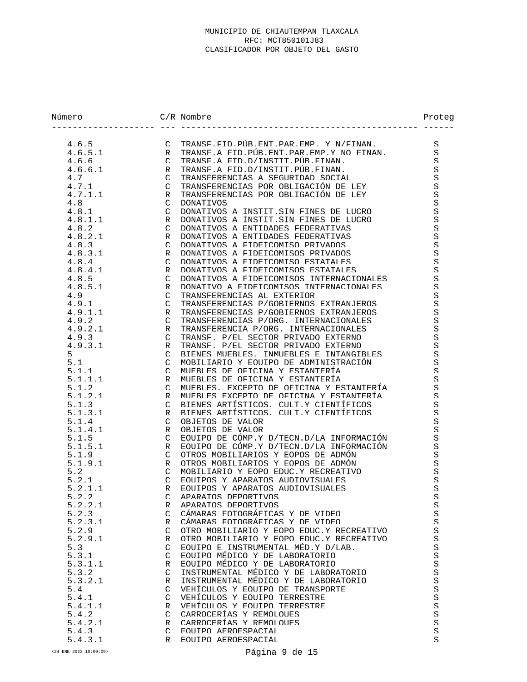| Número  |               | $C/R$ Nombre                             | Proteg              |
|---------|---------------|------------------------------------------|---------------------|
| 4.6.5   | $\mathcal{C}$ | TRANSF FID PUR FNT PAR FMP Y N/FINAN.    | S                   |
| 4.6.5.1 | $\mathsf{R}$  | TRANSF A FID PUR FNT PAR FMP Y NO FINAN  | S                   |
| 4.6.6   | $\mathcal{C}$ | TRANSF A FID D/INSTIT PUR FINAN.         | S                   |
| 4.6.6.1 | R             | TRANSF A FID D/INSTIT PUR FINAN.         | S                   |
| 4.7     | $\mathcal{C}$ | TRANSFERENCIAS A SEGURIDAD SOCIAL        | S                   |
| 4.7.1   | $\mathcal{C}$ | TRANSFERENCIAS POR OBLIGACIÓN DE LEY     | S                   |
| 4.7.1.1 | R             | TRANSFERENCIAS POR OBLIGACIÓN DE LEY     | S                   |
| 4.8     | $\cap$        | <b>DONATIVOS</b>                         | S                   |
| 4.8.1   | $\mathcal{C}$ | DONATIVOS A INSTIT SIN FINES DE LUCRO    | S                   |
| 4.8.1.1 | R             | DONATIVOS A INSTIT SIN FINES DE LUCRO    | S                   |
| 4.8.2   | $\mathcal{C}$ | DONATIVOS A ENTIDADES FEDERATIVAS        | S                   |
| 4.8.2.1 | R             | DONATIVOS A ENTIDADES FEDERATIVAS        | S                   |
| 4.8.3   | $\Gamma$      | DONATIVOS A FIDEICOMISO PRIVADOS         | S                   |
| 4.8.3.1 | R             | DONATIVOS A FIDEICOMISOS PRIVADOS        | S                   |
| 4.8.4   | $\mathcal{C}$ | DONATIVOS A FIDEICOMISO ESTATALES        | S                   |
| 4.8.4.1 | R             | DONATIVOS A FIDEICOMISOS ESTATALES       | S.                  |
| 4.8.5   | $\mathcal{C}$ | DONATIVOS A FIDEICOMISOS INTERNACIONALES | S                   |
| 4.8.5.1 | R             | DONATIVO A FIDEICOMISOS INTERNACIONALES  | S                   |
| 4.9     | $\Gamma$      | TRANSFERENCIAS AL EXTERIOR               | S                   |
| 4.9.1   | $\mathcal{C}$ | TRANSFERENCIAS P/GOBIERNOS EXTRANJEROS   | S                   |
| 4.9.1.1 | R             | TRANSFERENCIAS P/GOBIERNOS EXTRANJEROS   | S                   |
| 4.9.2   | $\mathcal{C}$ | TRANSFERENCIAS P/ORG INTERNACIONALES     | S                   |
| 4.9.2.1 | R             | TRANSFERENCIA P/ORG. INTERNACIONALES     | S                   |
| 4.9.3   | $\cap$        | TRANSF. P/EL SECTOR PRIVADO EXTERNO      | S                   |
| 4 9 3 1 | R             | TRANSF. P/EL SECTOR PRIVADO EXTERNO      | S                   |
| 5       | $\Gamma$      | RIENES MUERLES. INMUERLES E INTANGIBLES  | S                   |
| 5.1     | $\mathcal{C}$ | MORILIARIO Y EOUIPO DE ADMINISTRACIÓN    | S                   |
| 5.1.1   | $\mathcal{C}$ | MUEBLES DE OFICINA Y ESTANTERÍA          | S                   |
| 5.1.1.1 | R             | MUERLES DE OFICINA Y ESTANTERÍA          | S                   |
| 5.1.2   | $\mathcal{C}$ | MUEBLES. EXCEPTO DE OFICINA Y ESTANTERÍA | S                   |
| 5.1.2.1 | $\mathsf{R}$  | MUERLES EXCEPTO DE OFICINA Y ESTANTERÍA  | S                   |
| 5.1.3   | $\cap$        | BIENES ARTÍSTICOS. CULT Y CIENTÍFICOS    | S                   |
| 5.1.3.1 | R             | BIENES ARTÍSTICOS, CULT Y CIENTÍFICOS    | S                   |
| 5.1.4   | $\mathcal{C}$ | OBJETOS DE VALOR                         | S                   |
| 5.1.4.1 | R             | OBJETOS DE VALOR                         | S                   |
| 5.1.5   | $\mathcal{C}$ | EOUIPO DE CÓMP Y D/TECN D/LA INFORMACIÓN | S                   |
| 5.1.5.1 | R             | EQUIPO DE CÓMP Y D/TECN D/LA INFORMACIÓN | S                   |
| 5.1.9   | $\mathcal{C}$ | OTROS MOBILIARIOS Y EOPOS DE ADMÓN       | S                   |
| 5.1.9.1 | R             | OTROS MORILIARIOS Y EOPOS DE ADMÓN       | S                   |
| 5.2     | $\cap$        | MORILIARIO Y EOPO EDUC Y RECREATIVO      | S.                  |
| 5.2.1   | $\mathcal{C}$ | EQUIPOS Y APARATOS AUDIOVISUALES         | S                   |
| 5.2.1.1 | $\mathsf{R}$  | EQUIPOS Y APARATOS AUDIOVISUALES         | S                   |
| 5.2.2   | $\mathcal{C}$ | APARATOS DEPORTIVOS                      | S                   |
| 5.2.2.1 | R             | APARATOS DEPORTIVOS                      | S                   |
| 5.2.3   | $\mathcal{C}$ | CÁMARAS FOTOGRÁFICAS Y DE VIDEO          | S                   |
| 5.2.3.1 | R             | CÁMARAS FOTOGRÁFICAS Y DE VIDEO          | $\mathcal{S}% _{0}$ |
| 5.2.9   | $\mathcal{C}$ | OTRO MORILIARIO Y EOPO EDUC Y RECREATIVO | S                   |
| 5.2.9.1 | R             | OTRO MORILIARIO Y EOPO EDUC Y RECREATIVO | S                   |
| 5.3     | $\mathcal{C}$ | EOUIPO E INSTRUMENTAL MÉD Y D/LAB.       | S                   |
| 5.3.1   | $\mathcal{C}$ | EOUIPO MÉDICO Y DE LABORATORIO           | S                   |
| 5.3.1.1 | R             | EOUIPO MÉDICO Y DE LABORATORIO           | S                   |
| 5.3.2   | $\mathcal{C}$ | INSTRUMENTAL MÉDICO Y DE LABORATORIO     | S                   |
| 5.3.2.1 | R             | INSTRIIMENTAI MÉDICO Y DE LABORATORIO    | S                   |
| 5.4     | $\mathcal{C}$ | VEHÍCULOS Y EOUIPO DE TRANSPORTE         | S                   |
| 5.4.1   | $\mathcal{C}$ | VEHÍCULOS Y EQUIPO TERRESTRE             | S                   |
| 5.4.1.1 | R             | VEHÍCULOS Y EQUIPO TERRESTRE             | $\mathcal{S}% _{0}$ |
| 5.4.2   | $\mathcal{C}$ | CARROCERTAS Y REMOLOUES                  | S                   |
| 5.4.2.1 | R             | CARROCERTAS Y REMOLOUES                  | S                   |
| 5.4.3   | $\mathcal{C}$ | EOUTPO AEROESPACIAL                      | $\mathcal{S}% _{0}$ |
| 5.4.3.1 | R             | EOUTPO AEROESPACIAL                      | S                   |
|         |               |                                          |                     |

<24 ENE 2022 10:09:09> Página 9 de 15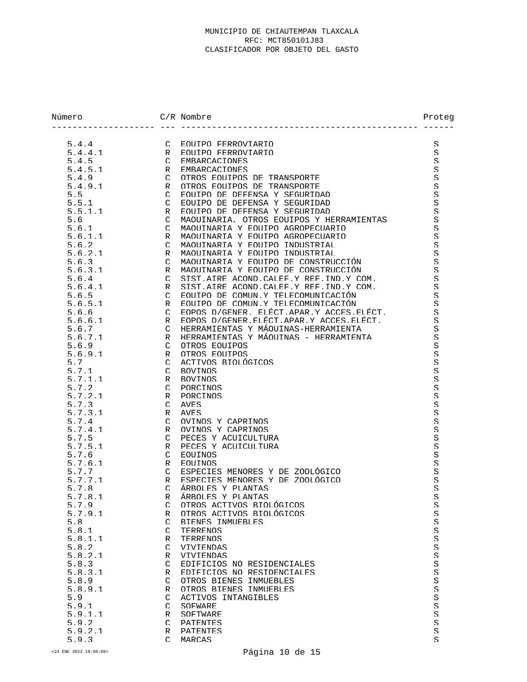| Número           |                    | $C/R$ Nombre                              | Proteg                   |
|------------------|--------------------|-------------------------------------------|--------------------------|
| 5.4.4            |                    | C EQUIPO FERROVIARIO                      | S                        |
| 5.4.4.1          | R                  | EOUIPO FERROVIARIO                        | S                        |
| 5.4.5            | $\mathcal{C}$      | <b>EMBARCACIONES</b>                      | S                        |
| 5.4.5.1          | R                  | EMBARCACIONES                             | S                        |
| 5.4.9            | $\mathcal{C}$      | OTROS EQUIPOS DE TRANSPORTE               | S                        |
| 5.4.9.1          | R                  | OTROS EQUIPOS DE TRANSPORTE               | S                        |
| 5.5              | $\mathcal{C}$      | EOUIPO DE DEFENSA Y SEGURIDAD             | S                        |
| 5.5.1            | $\cap$             | EOUIPO DE DEFENSA Y SEGURIDAD             | $\mathcal{S}% _{0}$      |
| 5.5.1.1          | $\mathsf{R}$       | EQUIPO DE DEFENSA Y SEGURIDAD             | S                        |
| 5.6              | $\cap$             | MAOUITNARIA. OTROS EOUIPOS Y HERRAMIENTAS | S                        |
| 5.6.1            | $\mathcal{C}$      | MAQUITNARTA Y EQUITPO AGROPECUARTO        | S                        |
| 5.6.1.1          | R                  | MAOUITNARIA Y EOUIPO AGROPECUARIO         | S                        |
| 5.6.2            | $\mathcal{C}$      | MAOUINARIA Y EOUIPO INDUSTRIAL            | S                        |
| 5.6.2.1          | R                  | MAOUINARIA Y EOUIPO INDUSTRIAL            | S                        |
| 5.6.3            | $\mathcal{C}$      | MAOUINARIA Y EOUIPO DE CONSTRUCCIÓN       | S                        |
| 5.6.3.1          | R                  | MAOUINARIA Y EOUIPO DE CONSTRUCCIÓN       | $\mathcal{S}% _{0}$      |
| 564              | $\mathcal{C}$      | SIST AIRE ACOND CALEF Y REF IND Y COM.    | S                        |
| 5.6.4.1          | R                  | SIST AIRE ACOND CALEF Y REF IND Y COM.    | S                        |
| 5.6.5            | $\mathcal{C}$      | EOUIPO DE COMUN Y TELECOMUNICACIÓN        | S                        |
| 5.6.5.1          | R                  | EOUIPO DE COMUN Y TELECOMUNICACIÓN        | S                        |
| 5.6.6            | $\mathcal{C}$      | EOPOS D/GENER. ELÉCT.APAR.Y ACCES.ELÉCT.  | S                        |
| 5.6.6.1          | R                  | EOPOS D/GENER ELECT APAR Y ACCES ELECT.   | S                        |
| 5.6.7            | $\mathcal{C}$      | HERRAMIENTAS Y MÁOUINAS-HERRAMIENTA       | S                        |
| 5.6.7.1          | R                  | HERRAMIENTAS Y MÁOUINAS - HERRAMIENTA     | $\mathcal{S}% _{0}$      |
| 5.6.9            | $\mathcal{C}$      | OTROS EQUIPOS                             | S                        |
| 5.6.9.1          | R                  | OTROS EQUIPOS                             | S                        |
| 5.7              | $\mathcal{C}$      | ACTIVOS BIOLÓGICOS                        | $\mathcal{S}% _{0}$      |
| 5.7.1            | $\cap$             | <b>BOVINOS</b>                            | S                        |
| 5.7.1.1          | R                  | <b>BOVINOS</b>                            | S                        |
| 5.7.2            | $\mathcal{C}$      | PORCINOS                                  | S                        |
| 5.7.2.1          | R                  | PORCINOS                                  | $\mathcal{S}% _{0}$      |
| 5.7.3<br>5.7.3.1 | $\mathcal{C}$<br>R | AVES<br><b>AVES</b>                       | $\mathcal{S}% _{0}$      |
| 5.7.4            | $\cap$             | OVINOS Y CAPRINOS                         | S<br>S                   |
| 5.7.4.1          | R                  | OVINOS Y CAPRINOS                         | $\mathcal{S}% _{0}$      |
| 5.7.5            | $\mathcal{C}$      | PECES Y ACUICULTURA                       | S                        |
| 5.7.5.1          | R                  | PECES Y ACUICULTURA                       | $\mathcal{S}% _{0}$      |
| 5.7.6            | $\mathcal{C}$      | <b>EOUINOS</b>                            | S                        |
| 5.7.6.1          | R                  | <b>EOUINOS</b>                            | S                        |
| 5.7.7            | $\mathcal{C}$      | ESPECIES MENORES Y DE ZOOLÓGICO           | $\mathcal{S}% _{0}$      |
| 5.7.7.1          | R                  | ESPECIES MENORES Y DE ZOOLÓGICO           | S                        |
| 5.7.8            | $\mathcal{C}$      | ÁRBOLES Y PLANTAS                         | S                        |
| 5.7.8.1          | R                  | ÁRBOLES Y PLANTAS                         | $\boldsymbol{\varsigma}$ |
| 5.7.9            | $\subset$          | OTROS ACTIVOS BIOLÓGICOS                  | S                        |
| 5.7.9.1          | R                  | OTROS ACTIVOS BIOLÓGICOS                  | $\mathcal{S}% _{0}$      |
| 5.8              | $\mathcal{C}$      | BIENES INMUEBLES                          | S.                       |
| 5.8.1            | $\cap$             | <b>TERRENOS</b>                           | S.                       |
| 5.8.1.1          | R                  | <b>TERRENOS</b>                           | $\mathcal{S}% _{0}$      |
| 5.8.2            | $\cap$             | <b>VIVIENDAS</b>                          | S.                       |
| 5.8.2.1          | R                  | <b>VIVIENDAS</b>                          | S                        |
| 5.8.3            | $\mathcal{C}$      | EDIFICIOS NO RESIDENCIALES                | $\mathcal{S}% _{0}$      |
| 5.8.3.1          | R                  | EDIFICIOS NO RESIDENCIALES                | S.                       |
| 5.8.9            | $\mathcal{C}$      | OTROS BIENES INMUEBLES                    | $\mathcal{S}% _{0}$      |
| 5.8.9.1          | R                  | OTROS BIENES INMUEBLES                    | S                        |
| 5.9              | $\cap$             | ACTIVOS INTANGIBLES                       | S                        |
| 5.9.1            | $\mathcal{C}$      | SOFWARE                                   | $\mathcal{S}% _{0}$      |
| 5.9.1.1          | R                  | SOFTWARE                                  | S.                       |
| 5.9.2            | $\cap$             | <b>PATENTES</b>                           | S                        |
| 5.9.2.1          | R                  | <b>PATENTES</b>                           | S.                       |
| 5.9.3            | $\mathcal{C}$      | MARCAS                                    | S                        |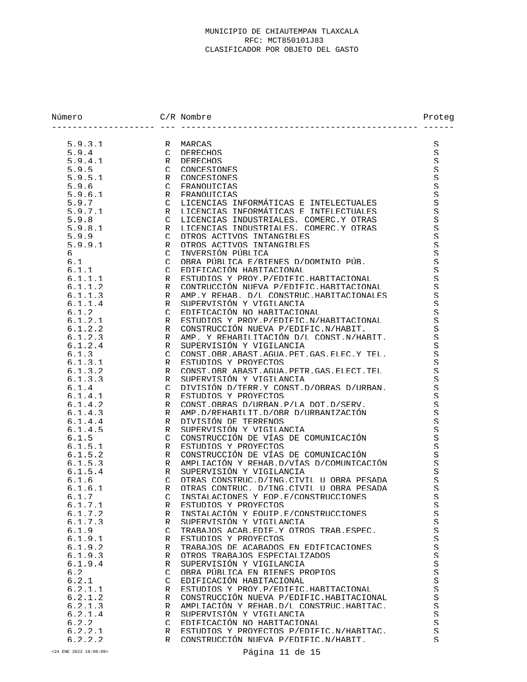| Número           |                   | $C/R$ Nombre                                                         | Proteg                   |
|------------------|-------------------|----------------------------------------------------------------------|--------------------------|
|                  |                   |                                                                      |                          |
| 5.9.3.1          | R                 | MARCAS                                                               | S                        |
| 5.9.4            | $\mathcal{C}$     | <b>DERECHOS</b>                                                      | S                        |
| 5.9.4.1          | R                 | <b>DERECHOS</b>                                                      | S                        |
| 5.9.5<br>5.9.5.1 | $\Gamma$<br>R     | <b>CONCESTONES</b><br><b>CONCESTONES</b>                             | S.                       |
| 5.9.6            | $\Gamma$          | <b>FRANOUICIAS</b>                                                   | S<br>S                   |
| 5.9.6.1          | R                 | <b>FRANOUICIAS</b>                                                   | S                        |
| 5.9.7            | $\mathcal{C}$     | LICENCIAS INFORMÁTICAS E INTELECTUALES                               | S                        |
| 5.9.7.1          | R                 | LICENCIAS INFORMÁTICAS E INTELECTUALES                               | S                        |
| 5.9.8            | $\Gamma$          | LICENCIAS INDUSTRIALES, COMERC.Y OTRAS                               | S                        |
| 5981             | R                 | LICENCIAS INDUSTRIALES, COMERC Y OTRAS                               | S                        |
| 5.9.9            | $\Gamma$          | OTROS ACTIVOS INTANGIBLES                                            | S                        |
| 5.9.9.1          | R                 | OTROS ACTIVOS INTANGIBLES                                            | S                        |
| б.               | $\mathcal{C}$     | INVERSIÓN PÚBLICA                                                    | S                        |
| 6.1              | $\mathcal{C}$     | OBRA PÚBLICA E/BIENES D/DOMINIO PÚB.                                 | S                        |
| 6.1.1            | $\mathcal{C}$     | EDIFICACIÓN HABITACIONAL                                             | S                        |
| 6.1.1.1          | R                 | ESTUDIOS Y PROY P/EDIFIC HARITACIONAL                                | S                        |
| 6.1.1.2          | R                 | CONTRUCCIÓN NUEVA P/EDIFIC HARITACIONAL                              | S                        |
| 6.1.1.3          | R                 | AMP Y REHAB D/L CONSTRUC HABITACIONALES                              | S                        |
| 6.1.1.4          | R                 | SUPERVISIÓN Y VIGILANCIA                                             | S                        |
| 6.1.2            | $\Gamma$          | EDIFICACIÓN NO HABITACIONAL                                          | S                        |
| 6.1.2.1          | R                 | ESTUDIOS Y PROY P/EDIFIC N/HARITACIONAL                              | S                        |
| 6.1.2.2          | R                 | CONSTRUCCIÓN NUEVA P/EDIFIC.N/HARIT.                                 | S                        |
| 6.1.2.3          | R                 | AMP. Y REHARILITACIÓN D/L CONST.N/HARIT.                             | S                        |
| 6.1.2.4          | R                 | SUPERVISIÓN Y VIGILANCIA                                             | S                        |
| 6.1.3            | $\Gamma$          | CONST. OBR. ABAST. AGUA. PET. GAS. ELEC. Y TEL.                      | S                        |
| 6.1.3.1          | R                 | ESTUDIOS Y PROYECTOS                                                 | S                        |
| 6.1.3.2          | R                 | CONST. OBR ABAST. AGUA. PETR. GAS. ELECT. TEL.                       | S                        |
| 6.1.3.3          | R                 | SUPERVISIÓN Y VIGILANCIA                                             | S                        |
| 6.1.4            | $\Gamma$          | DIVISIÓN D/TERR Y CONST D/OBRAS D/URBAN.                             | S                        |
| 6.1.4.1          | R                 | ESTUDIOS Y PROYECTOS                                                 | S                        |
| 6.1.4.2          | R                 | CONST. OBRAS D/URBAN. P/LA DOT. D/SERV.                              | S                        |
| 6.1.4.3          | R                 | AMP.D/REHARILIT.D/OBR D/URBANIZACIÓN                                 | S                        |
| 6.1.4.4          | R                 | DIVISIÓN DE TERRENOS                                                 | S                        |
| 6.1.4.5          | $\mathsf{R}$      | SUPERVISIÓN Y VIGILANCIA                                             | S                        |
| 6.1.5            | $\Gamma$          | CONSTRUCCIÓN DE VÍAS DE COMUNICACIÓN                                 | S                        |
| 6.1.5.1          | R                 | ESTUDIOS Y PROYECTOS                                                 | S                        |
| 6.1.5.2          | R                 | CONSTRUCCIÓN DE VÍAS DE COMUNICACIÓN                                 | S                        |
| 6.1.5.3          | R                 | AMPLIACIÓN Y REHAB D/VÍAS D/COMUNICACIÓN                             | S                        |
| 6.1.5.4          | R                 | SUPERVISIÓN Y VIGILANCIA<br>OTRAS CONSTRUC D/ING CIVIL U OBRA PESADA | S                        |
| 6.1.6<br>6.1.6.1 | $\mathcal{C}$     | OTRAS CONTRUC. D/ING.CIVIL U OBRA PESADA                             | S<br>S                   |
|                  | R<br>$\cap$       | INSTALACIONES Y EOP.E/CONSTRUCCIONES                                 | S                        |
| 6.1.7<br>6.1.7.1 |                   | ESTUDIOS Y PROYECTOS                                                 |                          |
| 6.1.7.2          | R<br>$\mathsf{R}$ | INSTALACIÓN Y EOUIP E/CONSTRUCCIONES                                 | S<br>$\mathcal{S}% _{0}$ |
| 6.1.7.3          | R                 | SUPERVISIÓN Y VIGILANCIA                                             | S                        |
| 6.1.9            | $\mathcal{C}$     | TRABAJOS ACAB. EDIF.Y OTROS TRAB. ESPEC.                             | S                        |
| 6.1.9.1          | R                 | ESTUDIOS Y PROYECTOS                                                 | S                        |
| 6.1.9.2          | R                 | TRABAJOS DE ACABADOS EN EDIFICACIONES                                | S                        |
| 6.1.9.3          | R                 | OTROS TRABAJOS ESPECIALIZADOS                                        | S                        |
| 6.1.9.4          | R                 | SUPERVISIÓN Y VIGILANCIA                                             | S.                       |
| 6.2              | $\Gamma$          | OBRA PÚBLICA EN BIENES PROPIOS                                       | S                        |
| 6.2.1            | $\mathcal{C}$     | EDIFICACIÓN HARITACIONAL                                             | S                        |
| 6.2.1.1          | R                 | ESTUDIOS Y PROY P/EDIFIC HABITACIONAL                                | S.                       |
| 6.2.1.2          | R                 | CONSTRUCCIÓN NUEVA P/EDIFIC.HARITACIONAL                             | S                        |
| 6.2.1.3          | R                 | AMPLIACIÓN Y REHAR D/L CONSTRUC HARITAC.                             | S.                       |
| 6.2.1.4          | R                 | SUPERVISIÓN Y VIGILANCIA                                             | S.                       |
| 6.2.2            | $\mathcal{C}$     | EDIFICACIÓN NO HARITACIONAL                                          | $\mathcal{S}% _{0}$      |
| 6.2.2.1          | R                 | ESTUDIOS Y PROYECTOS P/EDIFIC.N/HARITAC.                             | S                        |
| 6.2.2.2          | R                 | CONSTRUCCIÓN NUEVA P/EDIFIC.N/HARIT.                                 | S                        |

<24 ENE 2022 10:09:09> Página 11 de 15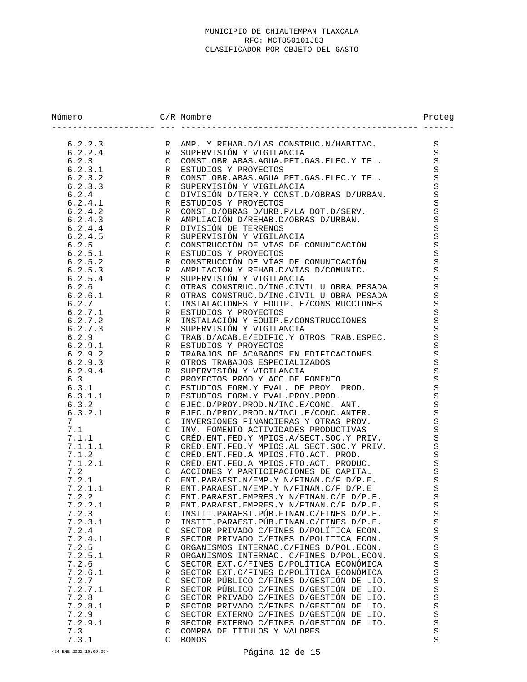| Número             |               | $C/R$ Nombre                                                                              | Proteg  |
|--------------------|---------------|-------------------------------------------------------------------------------------------|---------|
|                    |               |                                                                                           |         |
| 6.2.2.3<br>6.2.2.4 | R<br>R        | AMP. Y REHAB D/LAS CONSTRUC N/HABITAC.<br>SUPERVISIÓN Y VIGILANCIA                        | S<br>S  |
| 6.2.3              | $\mathcal{C}$ | CONST.OBR ABAS.AGUA.PET.GAS.ELEC.Y TEL.                                                   | S       |
| 6.2.3.1            | R             | ESTUDIOS Y PROYECTOS                                                                      | S       |
| 6.2.3.2            | R             | CONST. OBR. ABAS. AGUA PET. GAS. ELEC. Y TEL.                                             | S       |
| 6.2.3.3            | R             | SUPERVISIÓN Y VIGILANCIA                                                                  | S.      |
| 6.2.4              | $\cap$        | DIVISIÓN D/TERR Y CONST D/OBRAS D/URBAN.                                                  | S       |
| 6.2.4.1            | R             | ESTUDIOS Y PROYECTOS                                                                      | S       |
| 6.2.4.2            | R             | CONST.D/OBRAS D/URB.P/LA DOT.D/SERV.                                                      | S.      |
| 6.2.4.3            | R             | AMPIJACIÓN D/REHAR D/OBRAS D/URBAN.                                                       | S.      |
| 6.2.4.4            | R             | DIVISIÓN DE TERRENOS                                                                      | S.      |
| 6.2.4.5            | $\mathsf{R}$  | SUPERVISIÓN Y VIGILANCIA                                                                  | S       |
| 6.2.5              | $\mathcal{C}$ | CONSTRUCCIÓN DE VÍAS DE COMUNICACIÓN                                                      | S.      |
| 6.2.5.1            | R             | ESTUDIOS Y PROYECTOS                                                                      | S       |
| 6.2.5.2            | R             | CONSTRUCCIÓN DE VÍAS DE COMUNICACIÓN                                                      | S.      |
| 6.2.5.3            | $\mathsf R$   | AMPLIACIÓN Y REHAB D/VÍAS D/COMUNIC.                                                      | S.      |
| 6.2.5.4            | R             | SUPERVISIÓN Y VIGILANCIA                                                                  | S.      |
| 6.2.6              | $\mathcal{C}$ | OTRAS CONSTRUC D/ING CIVIL U ORRA PESADA                                                  | S       |
| 6.2.6.1            | R             | OTRAS CONSTRUC D/ING CIVIL U OBRA PESADA                                                  | S       |
| 6.2.7              | $\cap$        | INSTALACIONES Y EQUIP F/CONSTRUCCIONES                                                    | S       |
| 6.2.7.1            | R             | ESTUDIOS Y PROYECTOS                                                                      | S.      |
| 6.2.7.2            | R             | INSTALACIÓN Y EQUIP E/CONSTRUCCIONES                                                      | S       |
| 6.2.7.3            | $\mathsf{R}$  | SUPERVISIÓN Y VIGILANCIA                                                                  | S.      |
| 6.2.9              | $\Gamma$      | TRAB.D/ACAB.E/EDIFIC.Y OTROS TRAB.ESPEC.                                                  | S       |
| 6.2.9.1            | R             | ESTUDIOS Y PROYECTOS                                                                      | S       |
| 6.2.9.2            | R             | TRABAJOS DE ACABADOS EN EDIFICACIONES                                                     | S.      |
| 6.2.9.3            | R             | OTROS TRABAJOS ESPECIALIZADOS                                                             | S.      |
| 6.2.9.4            | $\mathsf{R}$  | SUPERVISIÓN Y VIGILANCIA                                                                  | S       |
| 6.3                | $\mathcal{C}$ | PROYECTOS PROD.Y ACC.DE FOMENTO                                                           | S.      |
| 6.3.1              | $\mathcal{C}$ | ESTUDIOS FORM Y EVAL. DE PROY. PROD.                                                      | S.      |
| 6.3.1.1            | R             | ESTUDIOS FORM Y EVAL PROY PROD.                                                           | S       |
| 6.3.2              | $\mathcal{C}$ | ETEC D/PROY PROD N/INC F/CONC. ANT.                                                       | S       |
| 6.3.2.1            | R             | ETEC D/PROY PROD N/INCL F/CONC ANTER                                                      | S       |
| 7                  | $\Gamma$      | INVERSIONES FINANCIERAS Y OTRAS PROV.                                                     | S.      |
| 7.1                | $\mathcal{C}$ | INV. FOMENTO ACTIVIDADES PRODUCTIVAS                                                      | S.      |
| 7.1.1              | $\mathcal{C}$ | CRÉD FNT FED Y MPIOS A/SECT SOC Y PRIV<br>CRED. ENT. FED. Y MPTOS. AL. SECT. SOC. Y PRTV. | S.      |
| 7.1.1.1            | R<br>$\cap$   | CRED FNT FED A MPTOS FTO ACT. PROD.                                                       | S.      |
| 7.1.2<br>7.1.2.1   | $\mathsf{R}$  | CRED FNT FED A MPIOS FTO ACT. PRODUC.                                                     | S.<br>S |
| 7.2                | $\mathcal{C}$ | ACCIONES Y PARTICIPACIONES DE CAPITAL                                                     | S.      |
| 7.2.1              | $\mathcal{C}$ | ENT PARAEST N/EMP Y N/FINAN C/F D/P E.                                                    | S.      |
| 7.2.1.1            | $\mathsf{R}$  | ENT PARAEST N/EMP Y N/FINAN C/F D/P E                                                     | S       |
| 7.2.2              |               | C ENT PARAEST EMPRES Y N/FINAN C/F D/P E.                                                 | S       |
| 7.2.2.1            | R             | ENT PARAEST EMPRES Y N/FINAN C/F D/P.E.                                                   | S       |
| 7.2.3              | $\mathcal{C}$ | INSTIT PARAEST PUR FINAN C/FINES D/P.E.                                                   | S       |
| 7.2.3.1            | R             | INSTIT PARAEST PUR FINAN C/FINES D/P.E.                                                   | S       |
| 7.2.4              | C             | SECTOR PRIVADO C/FINES D/POLÍTICA ECON.                                                   | S       |
| 7.2.4.1            | R             | SECTOR PRIVADO C/FINES D/POLITICA ECON.                                                   | S       |
| 7.2.5              | $\mathcal{C}$ | ORGANISMOS INTERNAC.C/FINES D/POL.ECON.                                                   | S       |
| 7.2.5.1            | R             | ORGANISMOS INTERNAC. C/FINES D/POL.ECON.                                                  | S       |
| 7.2.6              | C             | SECTOR EXT C/FINES D/POLÍTICA ECONÓMICA                                                   | S.      |
| 7.2.6.1            | R             | SECTOR EXT C/FINES D/POLÍTICA ECONÓMICA                                                   | S       |
| 7.2.7              | $\mathcal{C}$ | SECTOR PÚBLICO C/FINES D/GESTIÓN DE LIO.                                                  | S       |
| 7.2.7.1            | R             | SECTOR PÚBLICO C/FINES D/GESTIÓN DE LIO.                                                  | S.      |
| 7.2.8              | $\mathcal{C}$ | SECTOR PRIVADO C/FINES D/GESTIÓN DE LIO.                                                  | S       |
| 7.2.8.1            | R             | SECTOR PRIVADO C/FINES D/GESTIÓN DE LIO.                                                  | S       |
| 7.2.9              | $\subset$     | SECTOR EXTERNO C/FINES D/GESTIÓN DE LIO.                                                  | S       |
| 7.2.9.1            | R             | SECTOR EXTERNO C/FINES D/GESTIÓN DE LIO.                                                  | S       |
| 7.3                | C             | COMPRA DE TÍTULOS Y VALORES                                                               | S       |
| 7.3.1              | $\mathcal{C}$ | <b>RONOS</b>                                                                              | S       |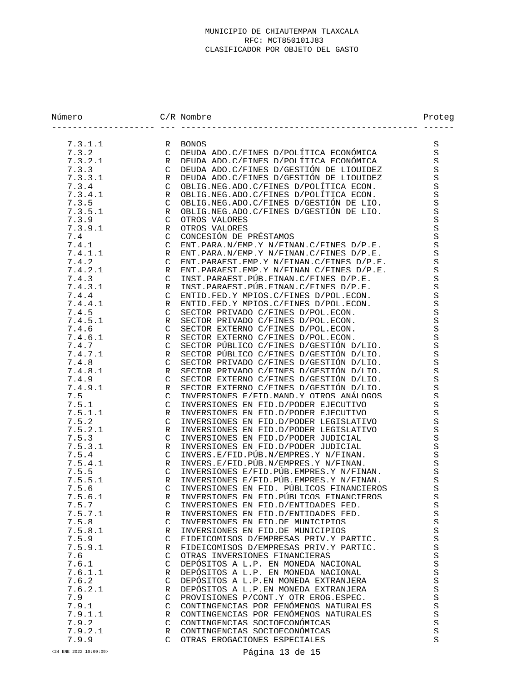| Número         |                           | $C/R$ Nombre                                                                       | Proteg              |
|----------------|---------------------------|------------------------------------------------------------------------------------|---------------------|
| 7.3.1.1        | R                         | <b>BONOS</b>                                                                       | S                   |
| 7.3.2          | $\Gamma$                  | DEUDA ADO C/FINES D/POLÍTICA ECONÓMICA                                             | S                   |
| 7.3.2.1        | $\ensuremath{\mathsf{R}}$ | DEUDA ADO C/FINES D/POLÍTICA ECONÓMICA                                             | $\mathcal{S}% _{0}$ |
| 7.3.3          | $\mathcal{C}$             | DEUDA ADO C/FINES D/GESTIÓN DE LIOUIDEZ                                            | S                   |
| 7.3.3.1        | R                         | DEUDA ADO C/FINES D/GESTIÓN DE LIOUIDEZ                                            | S                   |
| 7.3.4          | $\mathcal{C}$             | OBLIG.NEG.ADO.C/FINES D/POLÍTICA ECON.                                             | $\mathcal{S}% _{0}$ |
| 7.3.4.1        | R                         | OBLIG.NEG.ADO.C/FINES D/POLÍTICA ECON.                                             | S.                  |
| 7.3.5          | $\mathcal{C}$             | OBLIG.NEG.ADO.C/FINES D/GESTIÓN DE LIO.                                            | S                   |
| 7.3.5.1        | R                         | OBLIG.NEG.ADO.C/FINES D/GESTIÓN DE LIO.                                            | S                   |
| 7.3.9          | $\Gamma$                  | OTROS VALORES                                                                      | $\mathcal{S}% _{0}$ |
| 7.3.9.1        | R                         | OTROS VALORES                                                                      | $\mathcal{S}% _{0}$ |
| 7.4            | $\mathcal{C}$             | CONCESIÓN DE PRÉSTAMOS                                                             | S                   |
| 7.4.1          | $\Gamma$                  | FNT PARA N/FMP Y N/FTNAN C/FTNES D/P F.                                            | S                   |
| 7.4.1.1        | R                         | FNT PARA N/FMP Y N/FTNAN C/FTNES D/P F.                                            | S.                  |
| 7.4.2          | $\mathcal{C}$             | FNT PARAEST FMP Y N/FINAN C/FINES D/P F.                                           | S                   |
| 7.4.2.1        | R                         | ENT PARAEST EMP Y N/FINAN C/FINES D/P.E.                                           | $\mathcal{S}% _{0}$ |
| 7.4.3          | $\Gamma$                  | INST. PARAEST. PIR. FINAN. C/FINES D/P.E.                                          | S.                  |
| 7.4.3.1        | R                         | INST PARAEST PUR FINAN C/FINES D/P.E.                                              | S.                  |
| 7.4.4          | $\mathcal{C}$             | ENTID FED Y MPIOS C/FINES D/POL ECON.                                              | $\mathcal{S}% _{0}$ |
| 7.4.4.1        | R                         | ENTID FED Y MPIOS C/FINES D/POL ECON.                                              | S                   |
| 7.4.5          | $\cap$                    | SECTOR PRIVADO C/FINES D/POL.ECON.                                                 | $\mathcal{S}% _{0}$ |
| 7.4.5.1        | R                         | SECTOR PRIVADO C/FINES D/POL.ECON.                                                 | $\mathcal{S}% _{0}$ |
| 7.4.6          | $\Gamma$                  | SECTOR EXTERNO C/FINES D/POL.ECON.                                                 | S.                  |
| 7.4.6.1        | R                         | SECTOR EXTERNO C/FINES D/POL ECON                                                  | S                   |
| 7.4.7          | $\mathcal{C}$             | SECTOR PÚBLICO C/FINES D/GESTIÓN D/LIO.                                            | S                   |
| 7.4.7.1        | R                         | SECTOR PÚBLICO C/FINES D/GESTIÓN D/LIO.                                            | S                   |
| 7.4.8          | $\cap$                    | SECTOR PRIVADO C/FINES D/GESTIÓN D/LIO.                                            | $\mathcal{S}% _{0}$ |
| 7.4.8.1        | R                         | SECTOR PRIVADO C/FINES D/GESTIÓN D/LIO.                                            | S                   |
| 7.4.9          | $\Gamma$                  | SECTOR EXTERNO C/FINES D/GESTIÓN D/LIO.<br>SECTOR EXTERNO C/FINES D/GESTIÓN D/LIO. | S                   |
| 7.4.9.1<br>7.5 | R<br>$\Gamma$             | INVERSIONES E/FID.MAND.Y OTROS ANÁLOGOS                                            | S.<br>S             |
| 7.5.1          | $\mathcal{C}$             | INVERSIONES EN FID.D/PODER EJECUTIVO                                               | $\mathcal{S}% _{0}$ |
| 7.5.1.1        | R                         | INVERSIONES EN FID.D/PODER EJECUTIVO                                               | S                   |
| 7.5.2          | $\mathsf{C}$              | INVERSIONES EN FID D/PODER LEGISLATIVO                                             | S.                  |
| 7.5.2.1        | R                         | INVERSIONES EN FID D/PODER LEGISLATIVO                                             | $\mathcal{S}% _{0}$ |
| 7.5.3          | $\Gamma$                  | INVERSIONES EN FID.D/PODER JUDICIAL                                                | S                   |
| 7.5.3.1        | R                         | INVERSIONES EN FID.D/PODER JUDICIAL                                                | $\mathcal{S}% _{0}$ |
| 7.5.4          | $\mathcal{C}$             | INVERS F/FID PUR N/EMPRES Y N/FINAN.                                               | S.                  |
| 7.5.4.1        | R                         | INVERS F/FID PUR N/EMPRES Y N/FINAN.                                               | S                   |
| 7.5.5          | $\mathcal{C}$             | INVERSIONES E/FID. PÚB. EMPRES. Y N/FINAN.                                         | S                   |
| 7.5.5.1        | R                         | INVERSIONES E/FID. PUR. EMPRES. Y N/FINAN.                                         | S                   |
| 7.5.6          | $\mathcal{C}$             | INVERSIONES EN FID PÚBLICOS FINANCIEROS                                            | $\mathcal{S}$       |
| 7.5.6.1        | R                         | INVERSIONES EN FID. PÚBLICOS FINANCIEROS                                           | $\rm S$             |
| 7.5.7          | $\mathcal{C}$             | INVERSIONES EN FID.D/ENTIDADES FED.                                                | S                   |
| 7.5.7.1        | R                         | INVERSIONES EN FID.D/ENTIDADES FED.                                                | S                   |
| 7.5.8          | $\mathcal{C}$             | INVERSIONES EN FID. DE MUNICIPIOS                                                  | S                   |
| 7.5.8.1        | R                         | INVERSIONES EN FID. DE MUNICIPIOS                                                  | $\mathcal{S}% _{0}$ |
| 7.5.9          | $\mathcal{C}$             | FIDEICOMISOS D/EMPRESAS PRIV Y PARTIC.                                             | S                   |
| 7.5.9.1        | R                         | FIDEICOMISOS D/EMPRESAS PRIV.Y PARTIC.                                             | $\mathcal{S}% _{0}$ |
| 7.6            | $\mathcal{C}$             | OTRAS INVERSIONES FINANCIERAS                                                      | $\mathcal{S}% _{0}$ |
| 7.6.1          | $\mathcal{C}$             | DEPÓSITOS A L.P. EN MONEDA NACIONAL                                                | S                   |
| 7.6.1.1        | R                         | DEPÓSITOS A L.P. EN MONEDA NACIONAL                                                | S                   |
| 7.6.2          | $\mathcal{C}$             | DEPÓSITOS A L.P.EN MONEDA EXTRANJERA                                               | S                   |
| 7.6.2.1        | R                         | DEPÓSITOS A L.P. EN MONEDA EXTRANJERA                                              | $\mathcal{S}% _{0}$ |
| 7.9            | $\mathcal{C}$             | PROVISIONES P/CONT Y OTR EROG ESPEC.                                               | S                   |
| 7.9.1          | $\mathcal{C}$             | CONTINGENCIAS POR FENÓMENOS NATURALES                                              | S                   |
| 7.9.1.1        | R                         | CONTINGENCIAS POR FENÓMENOS NATURALES                                              | $\mathcal{S}% _{0}$ |
| 7.9.2          | $\mathcal{C}$             | CONTINGENCIAS SOCIOECONÓMICAS                                                      | $\mathcal{S}% _{0}$ |
| 7.9.2.1        | R<br>$\cap$               | CONTINGENCIAS SOCIOECONÓMICAS                                                      | S<br>S              |
| 7.9.9          |                           | OTRAS EROGACIONES ESPECIALES                                                       |                     |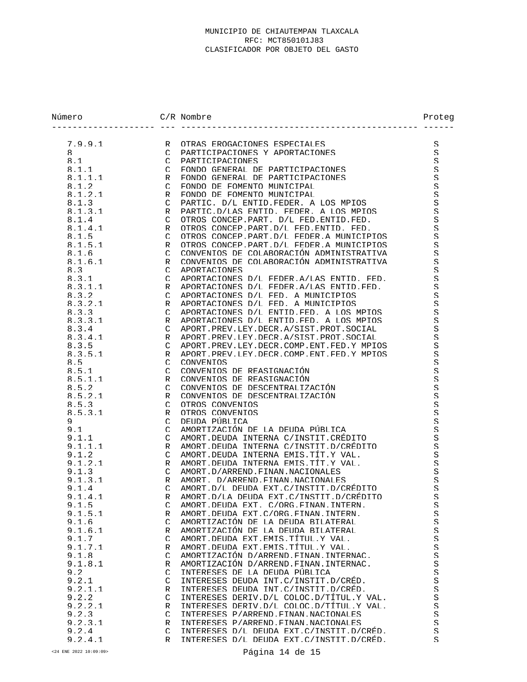| Número           |                    | $C/R$ Nombre                                                          | Proteg              |
|------------------|--------------------|-----------------------------------------------------------------------|---------------------|
| 7.9.9.1          | $\mathsf{R}$       | OTRAS EROGACIONES ESPECIALES                                          | S                   |
| 8                | $\mathcal{C}$      | PARTICIPACIONES Y APORTACIONES                                        | S                   |
| 8.1              | $\mathcal{C}$      | PARTICIPACIONES                                                       | S                   |
| 8.1.1            | $\mathcal{C}$      | FONDO GENERAL DE PARTICIPACIONES                                      | S                   |
| 8.1.1.1          | R                  | FONDO GENERAL DE PARTICIPACIONES                                      | S                   |
| 8.1.2            | $\subset$          | FONDO DE FOMENTO MUNICIPAL                                            | S.                  |
| 8.1.2.1          | R                  | FONDO DE FOMENTO MUNICIPAL                                            | S                   |
| 8.1.3            | $\mathcal{C}$      | PARTIC. D/L ENTID FEDER. A LOS MPIOS                                  | $\mathcal{S}% _{0}$ |
| 8.1.3.1          | R                  | PARTIC D/LAS ENTID FEDER A LOS MPIOS                                  | S                   |
| 8.1.4            | $\mathcal{C}$      | OTROS CONCEP PART. D/L FED FNTID FED.                                 | S                   |
| 8.1.4.1          | R                  | OTROS CONCEP PART D/L FED ENTID. FED.                                 | S                   |
| 8.1.5            | $\subset$          | OTROS CONCEP PART D/L FEDER A MUNICIPIOS                              | S                   |
| 8.1.5.1          | R                  | OTROS CONCEP PART D/L FEDER A MUNICIPIOS                              | S.                  |
| 8.1.6            | $\cap$             | CONVENIOS DE COLABORACIÓN ADMINISTRATIVA                              | S                   |
| 8.1.6.1          | R                  | CONVENIOS DE COLABORACIÓN ADMINISTRATIVA                              | S                   |
| 8.3              | $\mathcal{C}$      | APORTACIONES                                                          | S                   |
| 8.3.1            | $\mathcal{C}$      | APORTACIONES D/L FEDER A/LAS ENTID. FED.                              | S                   |
| 8.3.1.1          | R                  | APORTACIONES D/L FEDER A/LAS ENTID FED.                               | S                   |
| 8.3.2            | $\mathcal{C}$      | APORTACIONES D/L FED. A MUNICIPIOS                                    | S                   |
| 8.3.2.1          | R                  | APORTACIONES D/L FED. A MUNICIPIOS                                    | S                   |
| 8.3.3            | $\mathcal{C}$      | APORTACIONES D/L ENTID FED. A LOS MPIOS                               | S                   |
| 8.3.3.1          | R                  | APORTACIONES D/L ENTID FED. A LOS MPIOS                               | S                   |
| 8.3.4            | $\mathcal{C}$      | APORT PREV LEY DECR A/SIST PROT SOCIAL                                | S                   |
| 8.3.4.1          | R                  | APORT PREV LEY DECR A/SIST PROT SOCIAL                                | S                   |
| 8.3.5            | $\mathcal{C}$      | APORT PREV LEY DECR COMP ENT FED Y MPIOS                              | S                   |
| 8.3.5.1          | R                  | APORT PREV LEY DECR COMP ENT FED Y MPTOS                              | S                   |
| 8.5              | $\mathcal{C}$      | <b>CONVENTOS</b>                                                      | S                   |
| 8.5.1            | $\mathcal{C}$      | CONVENIOS DE REASIGNACIÓN                                             | S                   |
| 8.5.1.1          | R                  | CONVENIOS DE REASIGNACIÓN                                             | S                   |
| 8.5.2            | $\mathcal{C}$      | CONVENIOS DE DESCENTRALIZACIÓN                                        | S                   |
| 8.5.2.1          | R                  | CONVENIOS DE DESCENTRALIZACIÓN                                        | S                   |
| 8.5.3            | $\mathcal{C}$      | OTROS CONVENIOS                                                       | $\mathcal{S}% _{0}$ |
| 8.5.3.1          | R                  | OTROS CONVENIOS                                                       | S.                  |
| 9                | $\mathcal{C}$      | DEIJDA PÚBLICA                                                        | S                   |
| 9.1              | $\mathcal{C}$      | AMORTIZACIÓN DE LA DEUDA PÚRLICA                                      | S                   |
| 9.1.1            | $\mathcal{C}$      | AMORT DEUDA INTERNA C/INSTIT CRÉDITO                                  | S                   |
| 9.1.1.1          | R                  | AMORT DEUDA INTERNA C/INSTIT D/CRÉDITO                                | S                   |
| 9.1.2            | $\cap$             | AMORT DEUDA INTERNA EMIS TÍT Y VAL.                                   | S                   |
| 9.1.2.1          | R                  | AMORT DEUDA INTERNA EMIS TÍT Y VAL.                                   | S                   |
| 9.1.3<br>9.1.3.1 | $\cap$             | AMORT.D/ARREND.FINAN.NACIONALES<br>AMORT. D/ARREND. FINAN. NACIONALES | S<br>S.             |
| 9.1.4            | R<br>$\mathcal{C}$ | AMORT D/L DEUDA EXT C/INSTIT D/CREDITO                                | S                   |
| 9.1.4.1          | R                  | AMORT D/LA DEUDA EXT C/INSTIT D/CRÉDITO                               | $\rm S$             |
| 9.1.5            | $\mathcal{C}$      | AMORT DEUDA EXT. C/ORG FINAN INTERN.                                  | S                   |
| 9.1.5.1          | R                  | AMORT DEUDA EXT C/ORG FINAN INTERN.                                   | $\mathcal{S}% _{0}$ |
| 9.1.6            | $\mathcal{C}$      | AMORTIZACIÓN DE LA DEUDA BILATERAL                                    | S.                  |
| 9.1.6.1          | R                  | AMORTIZACIÓN DE LA DEUDA BILATERAL                                    | $\mathcal{S}% _{0}$ |
| 9.1.7            | $\mathcal{C}$      | AMORT DEUDA EXT EMIS TÍTUL Y VAL.                                     | $\mathcal{S}% _{0}$ |
| 9.1.7.1          | R                  | AMORT DEUDA EXT EMIS TÍTUL Y VAL.                                     | S                   |
| 9.1.8            | $\mathcal{C}$      | AMORTIZACIÓN D/ARREND FINAN INTERNAC.                                 | $\mathcal{S}% _{0}$ |
| 9.1.8.1          | R                  | AMORTIZACIÓN D/ARREND FINAN INTERNAC.                                 | $\mathcal{S}% _{0}$ |
| 9.2              | $\mathcal{C}$      | INTERESES DE LA DEUDA PÚBLICA                                         | S.                  |
| 9.2.1            | $\mathcal{C}$      | INTERESES DEUDA INT.C/INSTIT.D/CRED.                                  | S                   |
| 9.2.1.1          | R                  | INTERESES DEUDA INT.C/INSTIT.D/CRED.                                  | $\mathcal{S}% _{0}$ |
| 9.2.2            | $\cap$             | INTERESES DERIV D/L COLOC D/TITUL Y VAL.                              | S                   |
| 9.2.2.1          | R                  | INTERESES DERIV.D/L COLOC.D/TITUL.Y VAL.                              | $\mathcal{S}% _{0}$ |
| 9.2.3            | $\mathcal{C}$      | INTERESES P/ARREND FINAN NACIONALES                                   | S                   |
| 9.2.3.1          | R                  | INTERESES P/ARREND FINAN NACIONALES                                   | S                   |
| 9.2.4            | $\cap$             | INTERESES D/L DEUDA EXT.C/INSTIT.D/CRED.                              | $\mathcal{S}% _{0}$ |
| 9.2.4.1          | R                  | INTERESES D/L DEUDA EXT.C/INSTIT.D/CRÉD.                              | S.                  |

<24 ENE 2022 10:09:09> Página 14 de 15